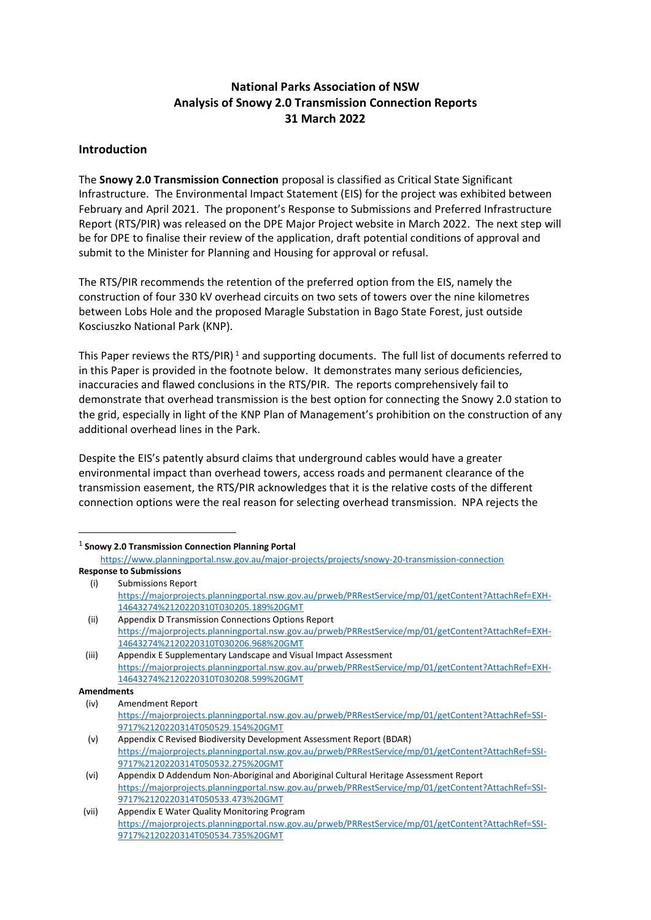### **National Parks Association of NSW Analysis of Snowy 2.0 Transmission Connection Reports 31 March 2022**

#### **Introduction**

The **Snowy 2.0 Transmission Connection** proposal is classified as Critical State Significant Infrastructure. The Environmental Impact Statement (EIS) for the project was exhibited between February and April 2021. The proponent's Response to Submissions and Preferred Infrastructure Report (RTS/PIR) was released on the DPE Major Project website in March 2022. The next step will be for DPE to finalise their review of the application, draft potential conditions of approval and submit to the Minister for Planning and Housing for approval or refusal.

The RTS/PIR recommends the retention of the preferred option from the EIS, namely the construction of four 330 kV overhead circuits on two sets of towers over the nine kilometres between Lobs Hole and the proposed Maragle Substation in Bago State Forest, just outside Kosciuszko National Park (KNP).

This Paper reviews the RTS/PIR)<sup>1</sup> and supporting documents. The full list of documents referred to in this Paper is provided in the footnote below. It demonstrates many serious deficiencies, inaccuracies and flawed conclusions in the RTS/PIR. The reports comprehensively fail to demonstrate that overhead transmission is the best option for connecting the Snowy 2.0 station to the grid, especially in light of the KNP Plan of Management's prohibition on the construction of any additional overhead lines in the Park.

Despite the EIS's patently absurd claims that underground cables would have a greater environmental impact than overhead towers, access roads and permanent clearance of the transmission easement, the RTS/PIR acknowledges that it is the relative costs of the different connection options were the real reason for selecting overhead transmission. NPA rejects the

#### 1 **Snowy 2.0 Transmission Connection Planning Portal**

https://www.planningportal.nsw.gov.au/major-projects/projects/snowy-20-transmission-connection **Response to Submissions** 

(i) Submissions Report

https://majorprojects.planningportal.nsw.gov.au/prweb/PRRestService/mp/01/getContent?AttachRef=EXH-14643274%2120220310T030205.189%20GMT

<sup>(</sup>ii) Appendix D Transmission Connections Options Report https://majorprojects.planningportal.nsw.gov.au/prweb/PRRestService/mp/01/getContent?AttachRef=EXH-14643274%2120220310T030206.968%20GMT

<sup>(</sup>iii) Appendix E Supplementary Landscape and Visual Impact Assessment https://majorprojects.planningportal.nsw.gov.au/prweb/PRRestService/mp/01/getContent?AttachRef=EXH-14643274%2120220310T030208.599%20GMT

**Amendments**

<sup>(</sup>iv) Amendment Report https://majorprojects.planningportal.nsw.gov.au/prweb/PRRestService/mp/01/getContent?AttachRef=SSI-9717%2120220314T050529.154%20GMT

<sup>(</sup>v) Appendix C Revised Biodiversity Development Assessment Report (BDAR) https://majorprojects.planningportal.nsw.gov.au/prweb/PRRestService/mp/01/getContent?AttachRef=SSI-9717%2120220314T050532.275%20GMT

<sup>(</sup>vi) Appendix D Addendum Non-Aboriginal and Aboriginal Cultural Heritage Assessment Report https://majorprojects.planningportal.nsw.gov.au/prweb/PRRestService/mp/01/getContent?AttachRef=SSI-9717%2120220314T050533.473%20GMT

<sup>(</sup>vii) Appendix E Water Quality Monitoring Program https://majorprojects.planningportal.nsw.gov.au/prweb/PRRestService/mp/01/getContent?AttachRef=SSI-9717%2120220314T050534.735%20GMT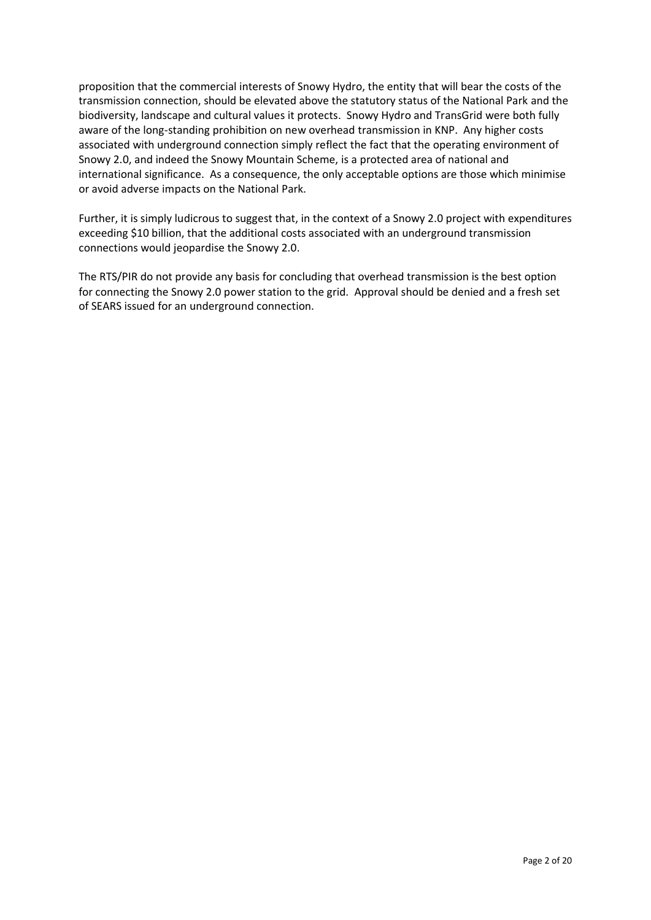proposition that the commercial interests of Snowy Hydro, the entity that will bear the costs of the transmission connection, should be elevated above the statutory status of the National Park and the biodiversity, landscape and cultural values it protects. Snowy Hydro and TransGrid were both fully aware of the long-standing prohibition on new overhead transmission in KNP. Any higher costs associated with underground connection simply reflect the fact that the operating environment of Snowy 2.0, and indeed the Snowy Mountain Scheme, is a protected area of national and international significance. As a consequence, the only acceptable options are those which minimise or avoid adverse impacts on the National Park.

Further, it is simply ludicrous to suggest that, in the context of a Snowy 2.0 project with expenditures exceeding \$10 billion, that the additional costs associated with an underground transmission connections would jeopardise the Snowy 2.0.

The RTS/PIR do not provide any basis for concluding that overhead transmission is the best option for connecting the Snowy 2.0 power station to the grid. Approval should be denied and a fresh set of SEARS issued for an underground connection.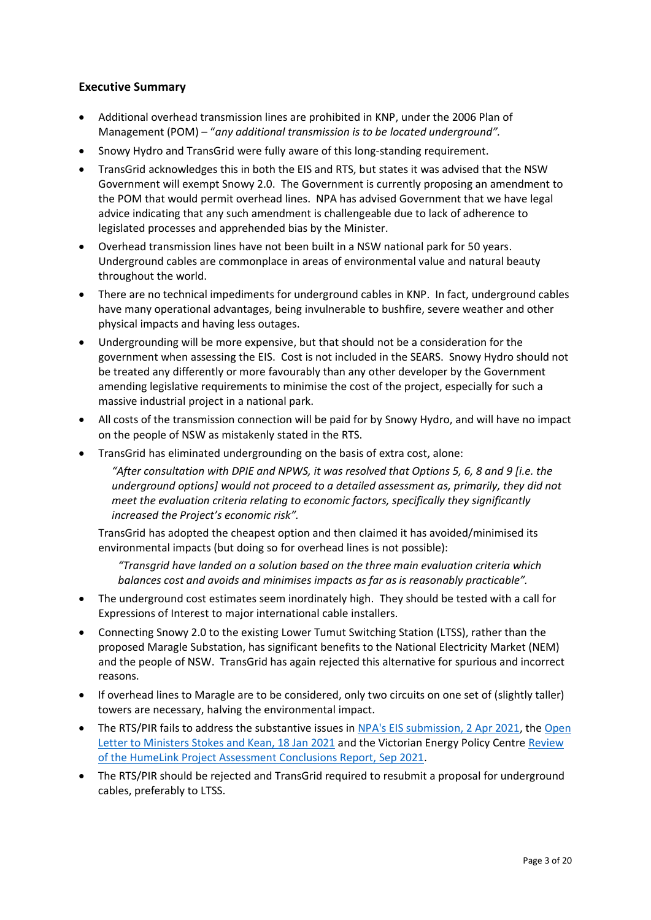### **Executive Summary**

- Additional overhead transmission lines are prohibited in KNP, under the 2006 Plan of Management (POM) – "*any additional transmission is to be located underground".*
- Snowy Hydro and TransGrid were fully aware of this long-standing requirement.
- TransGrid acknowledges this in both the EIS and RTS, but states it was advised that the NSW Government will exempt Snowy 2.0. The Government is currently proposing an amendment to the POM that would permit overhead lines. NPA has advised Government that we have legal advice indicating that any such amendment is challengeable due to lack of adherence to legislated processes and apprehended bias by the Minister.
- Overhead transmission lines have not been built in a NSW national park for 50 years. Underground cables are commonplace in areas of environmental value and natural beauty throughout the world.
- There are no technical impediments for underground cables in KNP. In fact, underground cables have many operational advantages, being invulnerable to bushfire, severe weather and other physical impacts and having less outages.
- Undergrounding will be more expensive, but that should not be a consideration for the government when assessing the EIS. Cost is not included in the SEARS. Snowy Hydro should not be treated any differently or more favourably than any other developer by the Government amending legislative requirements to minimise the cost of the project, especially for such a massive industrial project in a national park.
- All costs of the transmission connection will be paid for by Snowy Hydro, and will have no impact on the people of NSW as mistakenly stated in the RTS.
- TransGrid has eliminated undergrounding on the basis of extra cost, alone:

*"After consultation with DPIE and NPWS, it was resolved that Options 5, 6, 8 and 9 [i.e. the underground options] would not proceed to a detailed assessment as, primarily, they did not meet the evaluation criteria relating to economic factors, specifically they significantly increased the Project's economic risk".*

TransGrid has adopted the cheapest option and then claimed it has avoided/minimised its environmental impacts (but doing so for overhead lines is not possible):

*"Transgrid have landed on a solution based on the three main evaluation criteria which balances cost and avoids and minimises impacts as far as is reasonably practicable".*

- The underground cost estimates seem inordinately high. They should be tested with a call for Expressions of Interest to major international cable installers.
- Connecting Snowy 2.0 to the existing Lower Tumut Switching Station (LTSS), rather than the proposed Maragle Substation, has significant benefits to the National Electricity Market (NEM) and the people of NSW. TransGrid has again rejected this alternative for spurious and incorrect reasons.
- If overhead lines to Maragle are to be considered, only two circuits on one set of (slightly taller) towers are necessary, halving the environmental impact.
- The RTS/PIR fails to address the substantive issues in NPA's EIS submission, 2 Apr 2021, the Open Letter to Ministers Stokes and Kean, 18 Jan 2021 and the Victorian Energy Policy Centre Review of the HumeLink Project Assessment Conclusions Report, Sep 2021.
- The RTS/PIR should be rejected and TransGrid required to resubmit a proposal for underground cables, preferably to LTSS.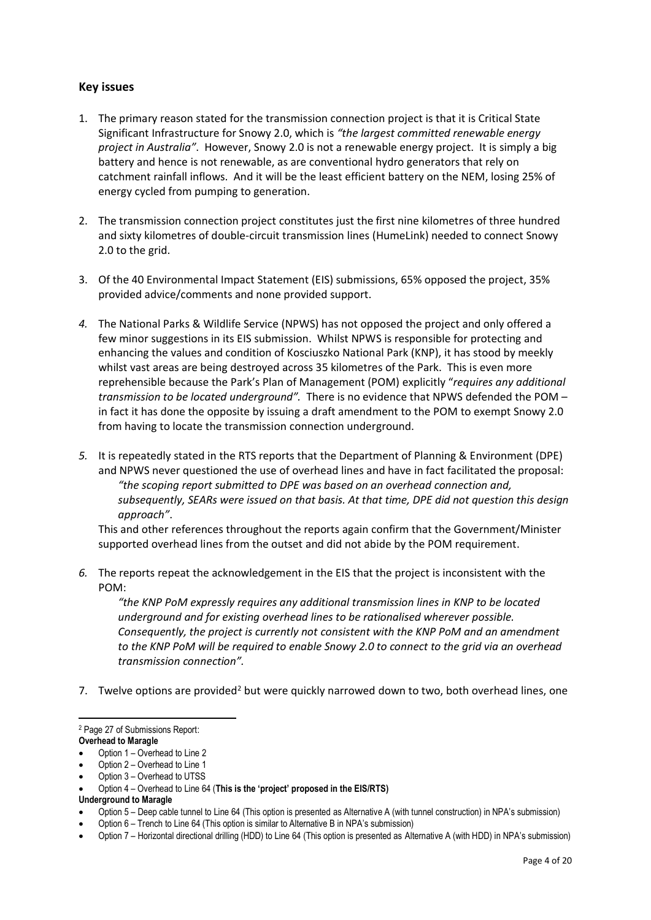### **Key issues**

- 1. The primary reason stated for the transmission connection project is that it is Critical State Significant Infrastructure for Snowy 2.0, which is *"the largest committed renewable energy project in Australia"*. However, Snowy 2.0 is not a renewable energy project. It is simply a big battery and hence is not renewable, as are conventional hydro generators that rely on catchment rainfall inflows. And it will be the least efficient battery on the NEM, losing 25% of energy cycled from pumping to generation.
- 2. The transmission connection project constitutes just the first nine kilometres of three hundred and sixty kilometres of double-circuit transmission lines (HumeLink) needed to connect Snowy 2.0 to the grid.
- 3. Of the 40 Environmental Impact Statement (EIS) submissions, 65% opposed the project, 35% provided advice/comments and none provided support.
- *4.* The National Parks & Wildlife Service (NPWS) has not opposed the project and only offered a few minor suggestions in its EIS submission. Whilst NPWS is responsible for protecting and enhancing the values and condition of Kosciuszko National Park (KNP), it has stood by meekly whilst vast areas are being destroyed across 35 kilometres of the Park. This is even more reprehensible because the Park's Plan of Management (POM) explicitly "*requires any additional transmission to be located underground".* There is no evidence that NPWS defended the POM – in fact it has done the opposite by issuing a draft amendment to the POM to exempt Snowy 2.0 from having to locate the transmission connection underground.
- *5.* It is repeatedly stated in the RTS reports that the Department of Planning & Environment (DPE) and NPWS never questioned the use of overhead lines and have in fact facilitated the proposal: *"the scoping report submitted to DPE was based on an overhead connection and, subsequently, SEARs were issued on that basis. At that time, DPE did not question this design approach"*.

This and other references throughout the reports again confirm that the Government/Minister supported overhead lines from the outset and did not abide by the POM requirement.

*6.* The reports repeat the acknowledgement in the EIS that the project is inconsistent with the POM:

*"the KNP PoM expressly requires any additional transmission lines in KNP to be located underground and for existing overhead lines to be rationalised wherever possible. Consequently, the project is currently not consistent with the KNP PoM and an amendment to the KNP PoM will be required to enable Snowy 2.0 to connect to the grid via an overhead transmission connection".*

7. Twelve options are provided<sup>2</sup> but were quickly narrowed down to two, both overhead lines, one

Option 3 – Overhead to UTSS

<sup>2</sup> Page 27 of Submissions Report:

**Overhead to Maragle**

Option 1 – Overhead to Line 2

Option 2 – Overhead to Line 1

<sup>•</sup> Option 4 – Overhead to Line 64 (**This is the 'project' proposed in the EIS/RTS)**

**Underground to Maragle**

<sup>•</sup> Option 5 – Deep cable tunnel to Line 64 (This option is presented as Alternative A (with tunnel construction) in NPA's submission)

<sup>•</sup> Option 6 – Trench to Line 64 (This option is similar to Alternative B in NPA's submission)

<sup>•</sup> Option 7 – Horizontal directional drilling (HDD) to Line 64 (This option is presented as Alternative A (with HDD) in NPA's submission)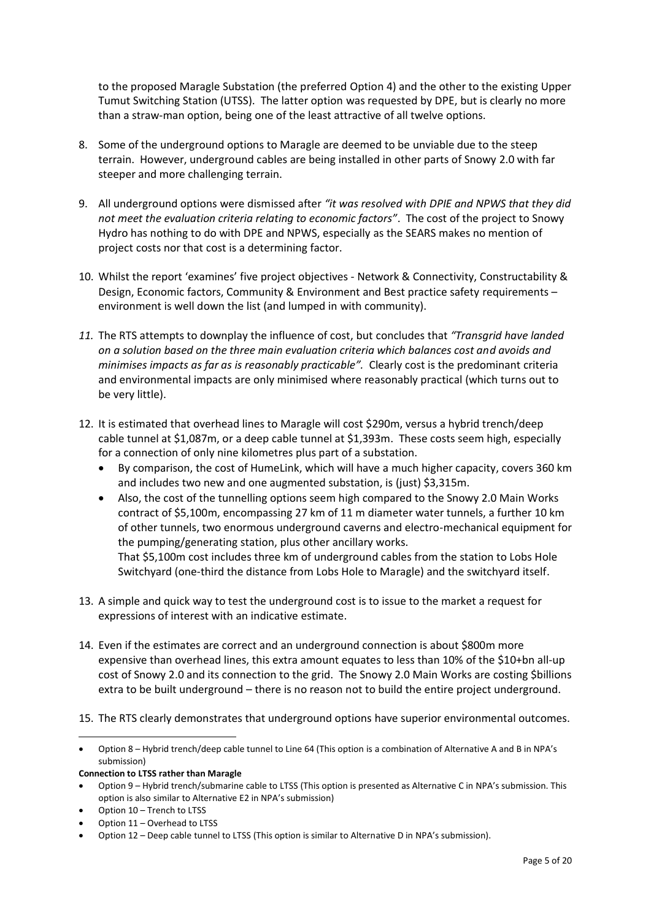to the proposed Maragle Substation (the preferred Option 4) and the other to the existing Upper Tumut Switching Station (UTSS). The latter option was requested by DPE, but is clearly no more than a straw-man option, being one of the least attractive of all twelve options.

- 8. Some of the underground options to Maragle are deemed to be unviable due to the steep terrain. However, underground cables are being installed in other parts of Snowy 2.0 with far steeper and more challenging terrain.
- 9. All underground options were dismissed after *"it was resolved with DPIE and NPWS that they did not meet the evaluation criteria relating to economic factors"*. The cost of the project to Snowy Hydro has nothing to do with DPE and NPWS, especially as the SEARS makes no mention of project costs nor that cost is a determining factor.
- 10. Whilst the report 'examines' five project objectives Network & Connectivity, Constructability & Design, Economic factors, Community & Environment and Best practice safety requirements – environment is well down the list (and lumped in with community).
- *11.* The RTS attempts to downplay the influence of cost, but concludes that *"Transgrid have landed on a solution based on the three main evaluation criteria which balances cost and avoids and minimises impacts as far as is reasonably practicable".* Clearly cost is the predominant criteria and environmental impacts are only minimised where reasonably practical (which turns out to be very little).
- 12. It is estimated that overhead lines to Maragle will cost \$290m, versus a hybrid trench/deep cable tunnel at \$1,087m, or a deep cable tunnel at \$1,393m. These costs seem high, especially for a connection of only nine kilometres plus part of a substation.
	- By comparison, the cost of HumeLink, which will have a much higher capacity, covers 360 km and includes two new and one augmented substation, is (just) \$3,315m.
	- Also, the cost of the tunnelling options seem high compared to the Snowy 2.0 Main Works contract of \$5,100m, encompassing 27 km of 11 m diameter water tunnels, a further 10 km of other tunnels, two enormous underground caverns and electro-mechanical equipment for the pumping/generating station, plus other ancillary works. That \$5,100m cost includes three km of underground cables from the station to Lobs Hole Switchyard (one-third the distance from Lobs Hole to Maragle) and the switchyard itself.
- 13. A simple and quick way to test the underground cost is to issue to the market a request for expressions of interest with an indicative estimate.
- 14. Even if the estimates are correct and an underground connection is about \$800m more expensive than overhead lines, this extra amount equates to less than 10% of the \$10+bn all-up cost of Snowy 2.0 and its connection to the grid. The Snowy 2.0 Main Works are costing \$billions extra to be built underground – there is no reason not to build the entire project underground.

15. The RTS clearly demonstrates that underground options have superior environmental outcomes.

**Connection to LTSS rather than Maragle**

- Option 10 Trench to LTSS
- Option 11 Overhead to LTSS

<sup>•</sup> Option 8 – Hybrid trench/deep cable tunnel to Line 64 (This option is a combination of Alternative A and B in NPA's submission)

<sup>•</sup> Option 9 – Hybrid trench/submarine cable to LTSS (This option is presented as Alternative C in NPA's submission. This option is also similar to Alternative E2 in NPA's submission)

<sup>•</sup> Option 12 – Deep cable tunnel to LTSS (This option is similar to Alternative D in NPA's submission).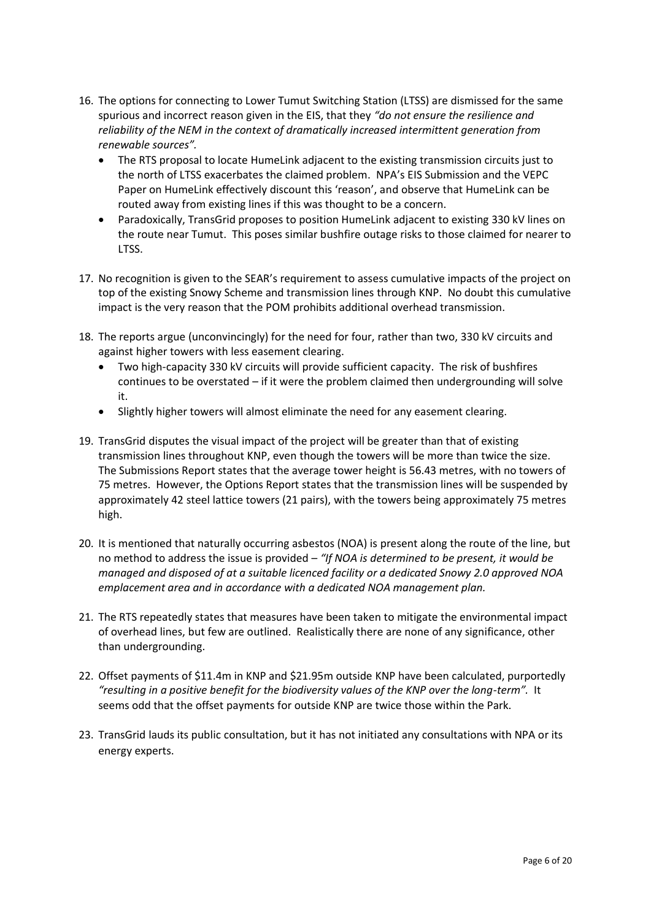- 16. The options for connecting to Lower Tumut Switching Station (LTSS) are dismissed for the same spurious and incorrect reason given in the EIS, that they *"do not ensure the resilience and reliability of the NEM in the context of dramatically increased intermittent generation from renewable sources".*
	- The RTS proposal to locate HumeLink adjacent to the existing transmission circuits just to the north of LTSS exacerbates the claimed problem. NPA's EIS Submission and the VEPC Paper on HumeLink effectively discount this 'reason', and observe that HumeLink can be routed away from existing lines if this was thought to be a concern.
	- Paradoxically, TransGrid proposes to position HumeLink adjacent to existing 330 kV lines on the route near Tumut. This poses similar bushfire outage risks to those claimed for nearer to LTSS.
- 17. No recognition is given to the SEAR's requirement to assess cumulative impacts of the project on top of the existing Snowy Scheme and transmission lines through KNP. No doubt this cumulative impact is the very reason that the POM prohibits additional overhead transmission.
- 18. The reports argue (unconvincingly) for the need for four, rather than two, 330 kV circuits and against higher towers with less easement clearing.
	- Two high-capacity 330 kV circuits will provide sufficient capacity. The risk of bushfires continues to be overstated – if it were the problem claimed then undergrounding will solve it.
	- Slightly higher towers will almost eliminate the need for any easement clearing.
- 19. TransGrid disputes the visual impact of the project will be greater than that of existing transmission lines throughout KNP, even though the towers will be more than twice the size. The Submissions Report states that the average tower height is 56.43 metres, with no towers of 75 metres. However, the Options Report states that the transmission lines will be suspended by approximately 42 steel lattice towers (21 pairs), with the towers being approximately 75 metres high.
- 20. It is mentioned that naturally occurring asbestos (NOA) is present along the route of the line, but no method to address the issue is provided – *"If NOA is determined to be present, it would be managed and disposed of at a suitable licenced facility or a dedicated Snowy 2.0 approved NOA emplacement area and in accordance with a dedicated NOA management plan.*
- 21. The RTS repeatedly states that measures have been taken to mitigate the environmental impact of overhead lines, but few are outlined. Realistically there are none of any significance, other than undergrounding.
- 22. Offset payments of \$11.4m in KNP and \$21.95m outside KNP have been calculated, purportedly *"resulting in a positive benefit for the biodiversity values of the KNP over the long-term".* It seems odd that the offset payments for outside KNP are twice those within the Park.
- 23. TransGrid lauds its public consultation, but it has not initiated any consultations with NPA or its energy experts.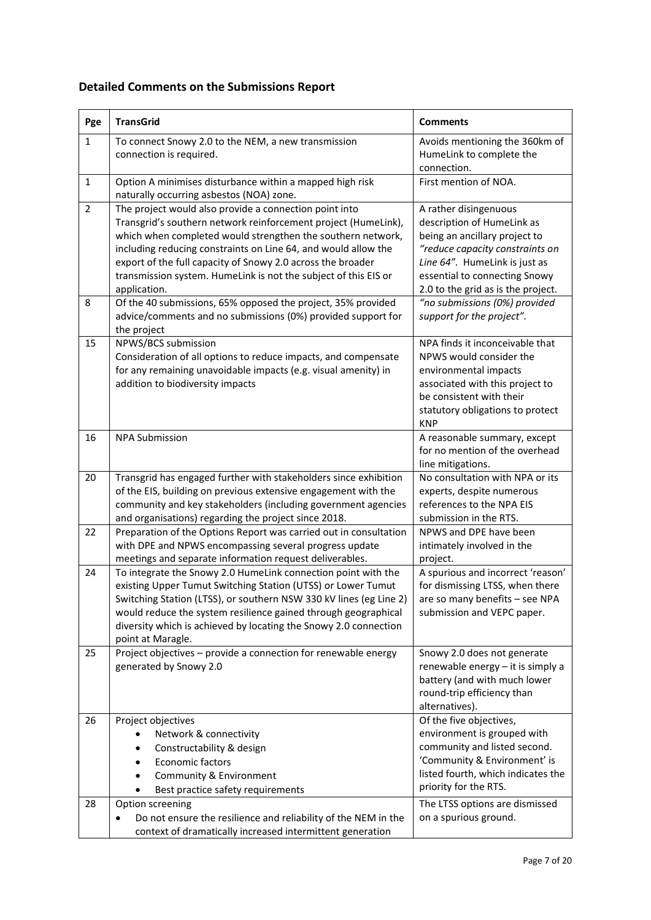# **Detailed Comments on the Submissions Report**

| Pge                 | <b>TransGrid</b>                                                                                                                                                                                                                                                                                                                                                                                                                                                                                                                                           | <b>Comments</b>                                                                                                                                                                                                                                                                               |
|---------------------|------------------------------------------------------------------------------------------------------------------------------------------------------------------------------------------------------------------------------------------------------------------------------------------------------------------------------------------------------------------------------------------------------------------------------------------------------------------------------------------------------------------------------------------------------------|-----------------------------------------------------------------------------------------------------------------------------------------------------------------------------------------------------------------------------------------------------------------------------------------------|
| $\mathbf{1}$        | To connect Snowy 2.0 to the NEM, a new transmission<br>connection is required.                                                                                                                                                                                                                                                                                                                                                                                                                                                                             | Avoids mentioning the 360km of<br>HumeLink to complete the<br>connection.                                                                                                                                                                                                                     |
| $\mathbf{1}$        | Option A minimises disturbance within a mapped high risk<br>naturally occurring asbestos (NOA) zone.                                                                                                                                                                                                                                                                                                                                                                                                                                                       | First mention of NOA.                                                                                                                                                                                                                                                                         |
| $\overline{2}$<br>8 | The project would also provide a connection point into<br>Transgrid's southern network reinforcement project (HumeLink),<br>which when completed would strengthen the southern network,<br>including reducing constraints on Line 64, and would allow the<br>export of the full capacity of Snowy 2.0 across the broader<br>transmission system. HumeLink is not the subject of this EIS or<br>application.<br>Of the 40 submissions, 65% opposed the project, 35% provided<br>advice/comments and no submissions (0%) provided support for<br>the project | A rather disingenuous<br>description of HumeLink as<br>being an ancillary project to<br>"reduce capacity constraints on<br>Line 64". HumeLink is just as<br>essential to connecting Snowy<br>2.0 to the grid as is the project.<br>"no submissions (0%) provided<br>support for the project". |
| 15                  | NPWS/BCS submission<br>Consideration of all options to reduce impacts, and compensate<br>for any remaining unavoidable impacts (e.g. visual amenity) in<br>addition to biodiversity impacts                                                                                                                                                                                                                                                                                                                                                                | NPA finds it inconceivable that<br>NPWS would consider the<br>environmental impacts<br>associated with this project to<br>be consistent with their<br>statutory obligations to protect<br><b>KNP</b>                                                                                          |
| 16                  | <b>NPA Submission</b>                                                                                                                                                                                                                                                                                                                                                                                                                                                                                                                                      | A reasonable summary, except<br>for no mention of the overhead<br>line mitigations.                                                                                                                                                                                                           |
| 20                  | Transgrid has engaged further with stakeholders since exhibition<br>of the EIS, building on previous extensive engagement with the<br>community and key stakeholders (including government agencies<br>and organisations) regarding the project since 2018.                                                                                                                                                                                                                                                                                                | No consultation with NPA or its<br>experts, despite numerous<br>references to the NPA EIS<br>submission in the RTS.                                                                                                                                                                           |
| 22                  | Preparation of the Options Report was carried out in consultation<br>with DPE and NPWS encompassing several progress update<br>meetings and separate information request deliverables.                                                                                                                                                                                                                                                                                                                                                                     | NPWS and DPE have been<br>intimately involved in the<br>project.                                                                                                                                                                                                                              |
| 24                  | To integrate the Snowy 2.0 HumeLink connection point with the<br>existing Upper Tumut Switching Station (UTSS) or Lower Tumut<br>Switching Station (LTSS), or southern NSW 330 kV lines (eg Line 2)<br>would reduce the system resilience gained through geographical<br>diversity which is achieved by locating the Snowy 2.0 connection<br>point at Maragle.                                                                                                                                                                                             | A spurious and incorrect 'reason'<br>for dismissing LTSS, when there<br>are so many benefits - see NPA<br>submission and VEPC paper.                                                                                                                                                          |
| 25                  | Project objectives - provide a connection for renewable energy<br>generated by Snowy 2.0                                                                                                                                                                                                                                                                                                                                                                                                                                                                   | Snowy 2.0 does not generate<br>renewable energy - it is simply a<br>battery (and with much lower<br>round-trip efficiency than<br>alternatives).                                                                                                                                              |
| 26                  | Project objectives<br>Network & connectivity<br>Constructability & design<br>٠<br>Economic factors<br>٠<br>Community & Environment<br>٠<br>Best practice safety requirements                                                                                                                                                                                                                                                                                                                                                                               | Of the five objectives,<br>environment is grouped with<br>community and listed second.<br>'Community & Environment' is<br>listed fourth, which indicates the<br>priority for the RTS.                                                                                                         |
| 28                  | Option screening<br>Do not ensure the resilience and reliability of the NEM in the<br>context of dramatically increased intermittent generation                                                                                                                                                                                                                                                                                                                                                                                                            | The LTSS options are dismissed<br>on a spurious ground.                                                                                                                                                                                                                                       |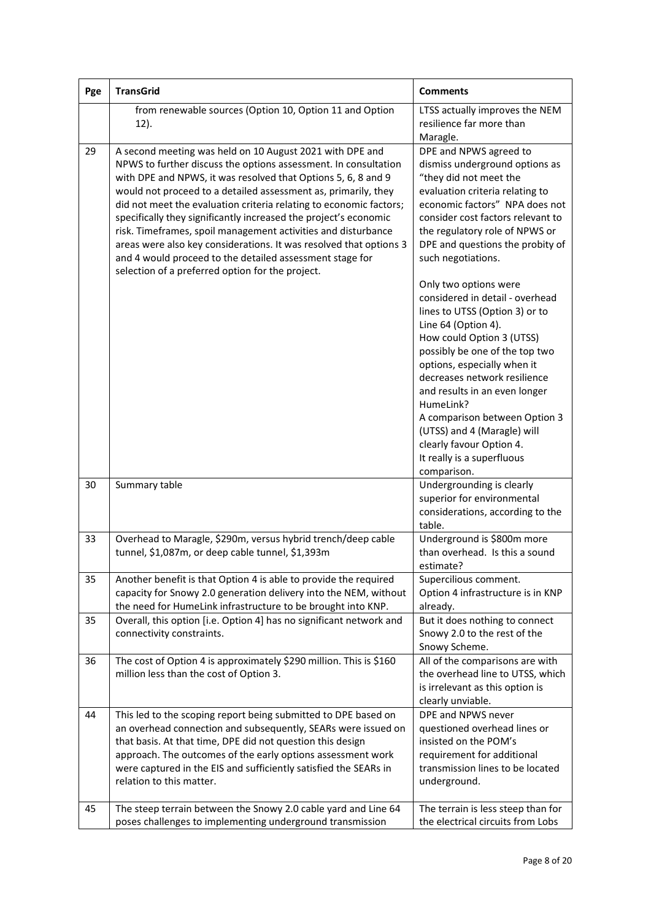| Pge | <b>TransGrid</b>                                                                                                                                                                                                                                                                                                                                                                                                                                                                                                                                                                                                                                                | <b>Comments</b>                                                                                                                                                                                                                                                                                                                                                                                                                                                                                                                             |
|-----|-----------------------------------------------------------------------------------------------------------------------------------------------------------------------------------------------------------------------------------------------------------------------------------------------------------------------------------------------------------------------------------------------------------------------------------------------------------------------------------------------------------------------------------------------------------------------------------------------------------------------------------------------------------------|---------------------------------------------------------------------------------------------------------------------------------------------------------------------------------------------------------------------------------------------------------------------------------------------------------------------------------------------------------------------------------------------------------------------------------------------------------------------------------------------------------------------------------------------|
|     | from renewable sources (Option 10, Option 11 and Option<br>$12$ ).                                                                                                                                                                                                                                                                                                                                                                                                                                                                                                                                                                                              | LTSS actually improves the NEM<br>resilience far more than<br>Maragle.                                                                                                                                                                                                                                                                                                                                                                                                                                                                      |
| 29  | A second meeting was held on 10 August 2021 with DPE and<br>NPWS to further discuss the options assessment. In consultation<br>with DPE and NPWS, it was resolved that Options 5, 6, 8 and 9<br>would not proceed to a detailed assessment as, primarily, they<br>did not meet the evaluation criteria relating to economic factors;<br>specifically they significantly increased the project's economic<br>risk. Timeframes, spoil management activities and disturbance<br>areas were also key considerations. It was resolved that options 3<br>and 4 would proceed to the detailed assessment stage for<br>selection of a preferred option for the project. | DPE and NPWS agreed to<br>dismiss underground options as<br>"they did not meet the<br>evaluation criteria relating to<br>economic factors" NPA does not<br>consider cost factors relevant to<br>the regulatory role of NPWS or<br>DPE and questions the probity of<br>such negotiations.<br>Only two options were<br>considered in detail - overhead<br>lines to UTSS (Option 3) or to<br>Line 64 (Option 4).<br>How could Option 3 (UTSS)<br>possibly be one of the top two<br>options, especially when it<br>decreases network resilience |
|     |                                                                                                                                                                                                                                                                                                                                                                                                                                                                                                                                                                                                                                                                 | and results in an even longer<br>HumeLink?<br>A comparison between Option 3<br>(UTSS) and 4 (Maragle) will<br>clearly favour Option 4.<br>It really is a superfluous<br>comparison.                                                                                                                                                                                                                                                                                                                                                         |
| 30  | Summary table                                                                                                                                                                                                                                                                                                                                                                                                                                                                                                                                                                                                                                                   | Undergrounding is clearly<br>superior for environmental<br>considerations, according to the<br>table.                                                                                                                                                                                                                                                                                                                                                                                                                                       |
| 33  | Overhead to Maragle, \$290m, versus hybrid trench/deep cable<br>tunnel, \$1,087m, or deep cable tunnel, \$1,393m                                                                                                                                                                                                                                                                                                                                                                                                                                                                                                                                                | Underground is \$800m more<br>than overhead. Is this a sound<br>estimate?                                                                                                                                                                                                                                                                                                                                                                                                                                                                   |
| 35  | Another benefit is that Option 4 is able to provide the required<br>capacity for Snowy 2.0 generation delivery into the NEM, without<br>the need for HumeLink infrastructure to be brought into KNP.                                                                                                                                                                                                                                                                                                                                                                                                                                                            | Supercilious comment.<br>Option 4 infrastructure is in KNP<br>already.                                                                                                                                                                                                                                                                                                                                                                                                                                                                      |
| 35  | Overall, this option [i.e. Option 4] has no significant network and<br>connectivity constraints.                                                                                                                                                                                                                                                                                                                                                                                                                                                                                                                                                                | But it does nothing to connect<br>Snowy 2.0 to the rest of the<br>Snowy Scheme.                                                                                                                                                                                                                                                                                                                                                                                                                                                             |
| 36  | The cost of Option 4 is approximately \$290 million. This is \$160<br>million less than the cost of Option 3.                                                                                                                                                                                                                                                                                                                                                                                                                                                                                                                                                   | All of the comparisons are with<br>the overhead line to UTSS, which<br>is irrelevant as this option is<br>clearly unviable.                                                                                                                                                                                                                                                                                                                                                                                                                 |
| 44  | This led to the scoping report being submitted to DPE based on<br>an overhead connection and subsequently, SEARs were issued on<br>that basis. At that time, DPE did not question this design<br>approach. The outcomes of the early options assessment work<br>were captured in the EIS and sufficiently satisfied the SEARs in<br>relation to this matter.                                                                                                                                                                                                                                                                                                    | DPE and NPWS never<br>questioned overhead lines or<br>insisted on the POM's<br>requirement for additional<br>transmission lines to be located<br>underground.                                                                                                                                                                                                                                                                                                                                                                               |
| 45  | The steep terrain between the Snowy 2.0 cable yard and Line 64<br>poses challenges to implementing underground transmission                                                                                                                                                                                                                                                                                                                                                                                                                                                                                                                                     | The terrain is less steep than for<br>the electrical circuits from Lobs                                                                                                                                                                                                                                                                                                                                                                                                                                                                     |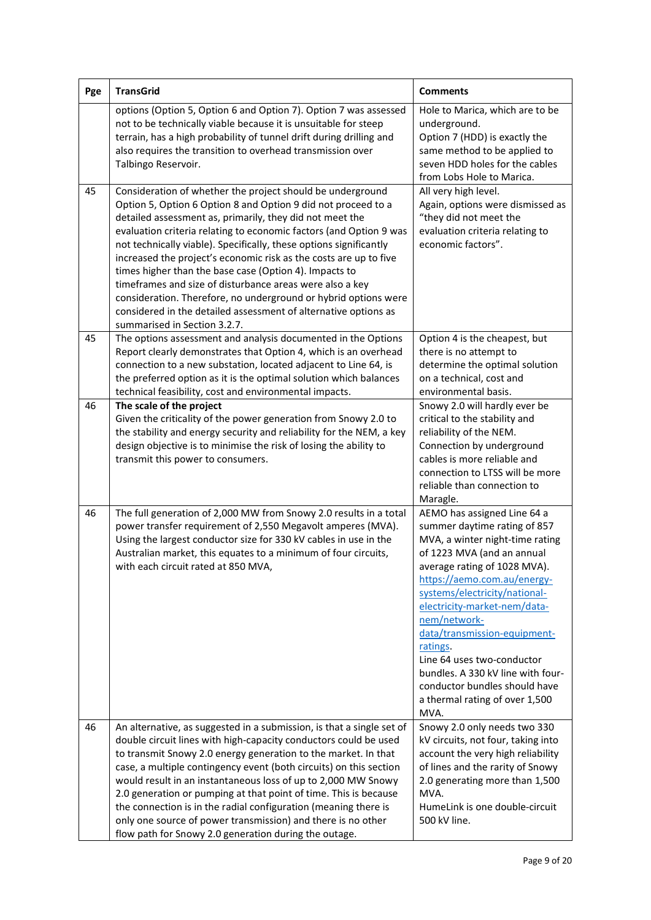| Pge | <b>TransGrid</b>                                                                                                                                                                                                                                                                                                                                                                                                                                                                                                                                                                                                                                                                                     | <b>Comments</b>                                                                                                                                                                                                                                                                                                                                                                                                                                                        |
|-----|------------------------------------------------------------------------------------------------------------------------------------------------------------------------------------------------------------------------------------------------------------------------------------------------------------------------------------------------------------------------------------------------------------------------------------------------------------------------------------------------------------------------------------------------------------------------------------------------------------------------------------------------------------------------------------------------------|------------------------------------------------------------------------------------------------------------------------------------------------------------------------------------------------------------------------------------------------------------------------------------------------------------------------------------------------------------------------------------------------------------------------------------------------------------------------|
|     | options (Option 5, Option 6 and Option 7). Option 7 was assessed<br>not to be technically viable because it is unsuitable for steep<br>terrain, has a high probability of tunnel drift during drilling and<br>also requires the transition to overhead transmission over<br>Talbingo Reservoir.                                                                                                                                                                                                                                                                                                                                                                                                      | Hole to Marica, which are to be<br>underground.<br>Option 7 (HDD) is exactly the<br>same method to be applied to<br>seven HDD holes for the cables<br>from Lobs Hole to Marica.                                                                                                                                                                                                                                                                                        |
| 45  | Consideration of whether the project should be underground<br>Option 5, Option 6 Option 8 and Option 9 did not proceed to a<br>detailed assessment as, primarily, they did not meet the<br>evaluation criteria relating to economic factors (and Option 9 was<br>not technically viable). Specifically, these options significantly<br>increased the project's economic risk as the costs are up to five<br>times higher than the base case (Option 4). Impacts to<br>timeframes and size of disturbance areas were also a key<br>consideration. Therefore, no underground or hybrid options were<br>considered in the detailed assessment of alternative options as<br>summarised in Section 3.2.7. | All very high level.<br>Again, options were dismissed as<br>"they did not meet the<br>evaluation criteria relating to<br>economic factors".                                                                                                                                                                                                                                                                                                                            |
| 45  | The options assessment and analysis documented in the Options<br>Report clearly demonstrates that Option 4, which is an overhead<br>connection to a new substation, located adjacent to Line 64, is<br>the preferred option as it is the optimal solution which balances<br>technical feasibility, cost and environmental impacts.                                                                                                                                                                                                                                                                                                                                                                   | Option 4 is the cheapest, but<br>there is no attempt to<br>determine the optimal solution<br>on a technical, cost and<br>environmental basis.                                                                                                                                                                                                                                                                                                                          |
| 46  | The scale of the project<br>Given the criticality of the power generation from Snowy 2.0 to<br>the stability and energy security and reliability for the NEM, a key<br>design objective is to minimise the risk of losing the ability to<br>transmit this power to consumers.                                                                                                                                                                                                                                                                                                                                                                                                                        | Snowy 2.0 will hardly ever be<br>critical to the stability and<br>reliability of the NEM.<br>Connection by underground<br>cables is more reliable and<br>connection to LTSS will be more<br>reliable than connection to<br>Maragle.                                                                                                                                                                                                                                    |
| 46  | The full generation of 2,000 MW from Snowy 2.0 results in a total<br>power transfer requirement of 2,550 Megavolt amperes (MVA).<br>Using the largest conductor size for 330 kV cables in use in the<br>Australian market, this equates to a minimum of four circuits,<br>with each circuit rated at 850 MVA,                                                                                                                                                                                                                                                                                                                                                                                        | AEMO has assigned Line 64 a<br>summer daytime rating of 857<br>MVA, a winter night-time rating<br>of 1223 MVA (and an annual<br>average rating of 1028 MVA).<br>https://aemo.com.au/energy-<br>systems/electricity/national-<br>electricity-market-nem/data-<br>nem/network-<br>data/transmission-equipment-<br>ratings.<br>Line 64 uses two-conductor<br>bundles. A 330 kV line with four-<br>conductor bundles should have<br>a thermal rating of over 1,500<br>MVA. |
| 46  | An alternative, as suggested in a submission, is that a single set of<br>double circuit lines with high-capacity conductors could be used<br>to transmit Snowy 2.0 energy generation to the market. In that<br>case, a multiple contingency event (both circuits) on this section<br>would result in an instantaneous loss of up to 2,000 MW Snowy<br>2.0 generation or pumping at that point of time. This is because<br>the connection is in the radial configuration (meaning there is<br>only one source of power transmission) and there is no other<br>flow path for Snowy 2.0 generation during the outage.                                                                                   | Snowy 2.0 only needs two 330<br>kV circuits, not four, taking into<br>account the very high reliability<br>of lines and the rarity of Snowy<br>2.0 generating more than 1,500<br>MVA.<br>HumeLink is one double-circuit<br>500 kV line.                                                                                                                                                                                                                                |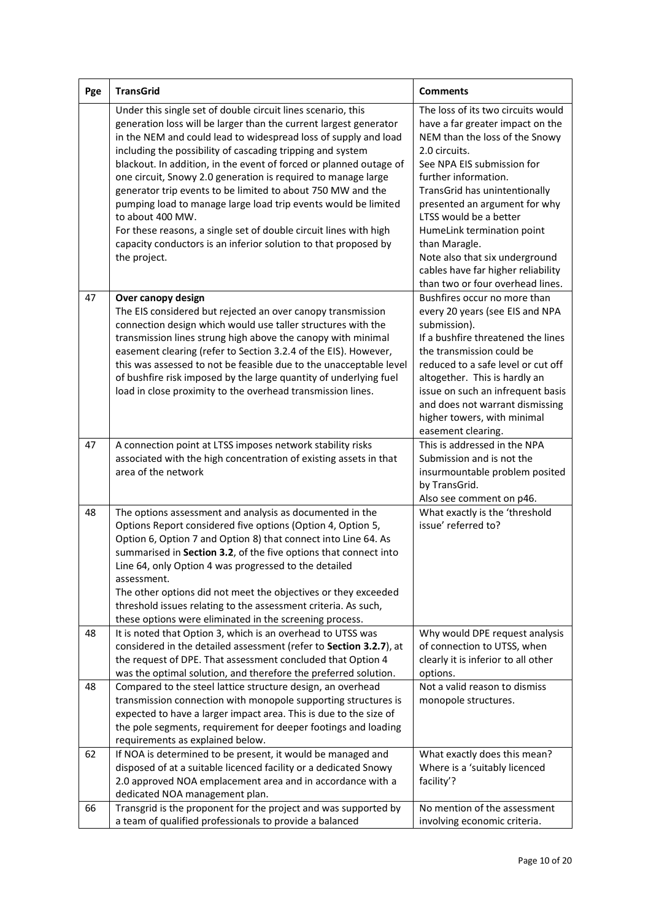| Pge | <b>TransGrid</b>                                                                                                                                                                                                                                                                                                                                                                                                                                                                                                                                                                                                                                                                                                       | <b>Comments</b>                                                                                                                                                                                                                                                                                                                                                                                                                        |
|-----|------------------------------------------------------------------------------------------------------------------------------------------------------------------------------------------------------------------------------------------------------------------------------------------------------------------------------------------------------------------------------------------------------------------------------------------------------------------------------------------------------------------------------------------------------------------------------------------------------------------------------------------------------------------------------------------------------------------------|----------------------------------------------------------------------------------------------------------------------------------------------------------------------------------------------------------------------------------------------------------------------------------------------------------------------------------------------------------------------------------------------------------------------------------------|
|     | Under this single set of double circuit lines scenario, this<br>generation loss will be larger than the current largest generator<br>in the NEM and could lead to widespread loss of supply and load<br>including the possibility of cascading tripping and system<br>blackout. In addition, in the event of forced or planned outage of<br>one circuit, Snowy 2.0 generation is required to manage large<br>generator trip events to be limited to about 750 MW and the<br>pumping load to manage large load trip events would be limited<br>to about 400 MW.<br>For these reasons, a single set of double circuit lines with high<br>capacity conductors is an inferior solution to that proposed by<br>the project. | The loss of its two circuits would<br>have a far greater impact on the<br>NEM than the loss of the Snowy<br>2.0 circuits.<br>See NPA EIS submission for<br>further information.<br>TransGrid has unintentionally<br>presented an argument for why<br>LTSS would be a better<br>HumeLink termination point<br>than Maragle.<br>Note also that six underground<br>cables have far higher reliability<br>than two or four overhead lines. |
| 47  | Over canopy design<br>The EIS considered but rejected an over canopy transmission<br>connection design which would use taller structures with the<br>transmission lines strung high above the canopy with minimal<br>easement clearing (refer to Section 3.2.4 of the EIS). However,<br>this was assessed to not be feasible due to the unacceptable level<br>of bushfire risk imposed by the large quantity of underlying fuel<br>load in close proximity to the overhead transmission lines.                                                                                                                                                                                                                         | Bushfires occur no more than<br>every 20 years (see EIS and NPA<br>submission).<br>If a bushfire threatened the lines<br>the transmission could be<br>reduced to a safe level or cut off<br>altogether. This is hardly an<br>issue on such an infrequent basis<br>and does not warrant dismissing<br>higher towers, with minimal<br>easement clearing.                                                                                 |
| 47  | A connection point at LTSS imposes network stability risks<br>associated with the high concentration of existing assets in that<br>area of the network                                                                                                                                                                                                                                                                                                                                                                                                                                                                                                                                                                 | This is addressed in the NPA<br>Submission and is not the<br>insurmountable problem posited<br>by TransGrid.<br>Also see comment on p46.                                                                                                                                                                                                                                                                                               |
| 48  | The options assessment and analysis as documented in the<br>Options Report considered five options (Option 4, Option 5,<br>Option 6, Option 7 and Option 8) that connect into Line 64. As<br>summarised in Section 3.2, of the five options that connect into<br>Line 64, only Option 4 was progressed to the detailed<br>assessment.<br>The other options did not meet the objectives or they exceeded<br>threshold issues relating to the assessment criteria. As such,<br>these options were eliminated in the screening process.                                                                                                                                                                                   | What exactly is the 'threshold<br>issue' referred to?                                                                                                                                                                                                                                                                                                                                                                                  |
| 48  | It is noted that Option 3, which is an overhead to UTSS was<br>considered in the detailed assessment (refer to Section 3.2.7), at<br>the request of DPE. That assessment concluded that Option 4<br>was the optimal solution, and therefore the preferred solution.                                                                                                                                                                                                                                                                                                                                                                                                                                                    | Why would DPE request analysis<br>of connection to UTSS, when<br>clearly it is inferior to all other<br>options.                                                                                                                                                                                                                                                                                                                       |
| 48  | Compared to the steel lattice structure design, an overhead<br>transmission connection with monopole supporting structures is<br>expected to have a larger impact area. This is due to the size of<br>the pole segments, requirement for deeper footings and loading<br>requirements as explained below.                                                                                                                                                                                                                                                                                                                                                                                                               | Not a valid reason to dismiss<br>monopole structures.                                                                                                                                                                                                                                                                                                                                                                                  |
| 62  | If NOA is determined to be present, it would be managed and<br>disposed of at a suitable licenced facility or a dedicated Snowy<br>2.0 approved NOA emplacement area and in accordance with a<br>dedicated NOA management plan.                                                                                                                                                                                                                                                                                                                                                                                                                                                                                        | What exactly does this mean?<br>Where is a 'suitably licenced<br>facility'?                                                                                                                                                                                                                                                                                                                                                            |
| 66  | Transgrid is the proponent for the project and was supported by<br>a team of qualified professionals to provide a balanced                                                                                                                                                                                                                                                                                                                                                                                                                                                                                                                                                                                             | No mention of the assessment<br>involving economic criteria.                                                                                                                                                                                                                                                                                                                                                                           |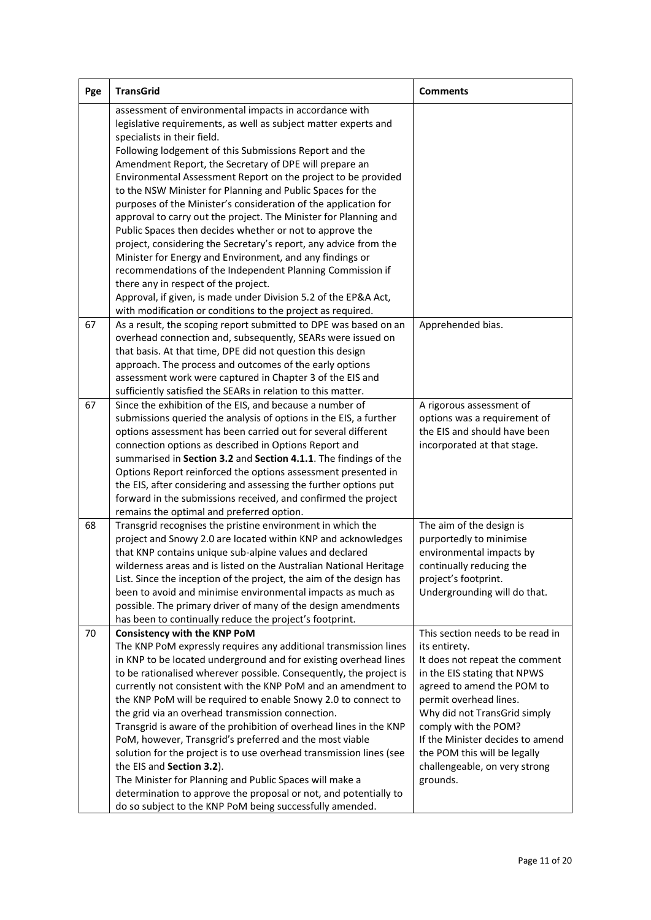| Pge | <b>TransGrid</b>                                                                                                                                                                                                                                                                                                                                                                                                                                                                                                                                                                                                                                                                                                                                                                                                                                                                                                                                                                      | <b>Comments</b>                                                                                                                                                                                                                                                                                                                                      |
|-----|---------------------------------------------------------------------------------------------------------------------------------------------------------------------------------------------------------------------------------------------------------------------------------------------------------------------------------------------------------------------------------------------------------------------------------------------------------------------------------------------------------------------------------------------------------------------------------------------------------------------------------------------------------------------------------------------------------------------------------------------------------------------------------------------------------------------------------------------------------------------------------------------------------------------------------------------------------------------------------------|------------------------------------------------------------------------------------------------------------------------------------------------------------------------------------------------------------------------------------------------------------------------------------------------------------------------------------------------------|
|     | assessment of environmental impacts in accordance with<br>legislative requirements, as well as subject matter experts and<br>specialists in their field.<br>Following lodgement of this Submissions Report and the<br>Amendment Report, the Secretary of DPE will prepare an<br>Environmental Assessment Report on the project to be provided<br>to the NSW Minister for Planning and Public Spaces for the<br>purposes of the Minister's consideration of the application for<br>approval to carry out the project. The Minister for Planning and<br>Public Spaces then decides whether or not to approve the<br>project, considering the Secretary's report, any advice from the<br>Minister for Energy and Environment, and any findings or<br>recommendations of the Independent Planning Commission if<br>there any in respect of the project.<br>Approval, if given, is made under Division 5.2 of the EP&A Act,<br>with modification or conditions to the project as required. |                                                                                                                                                                                                                                                                                                                                                      |
| 67  | As a result, the scoping report submitted to DPE was based on an<br>overhead connection and, subsequently, SEARs were issued on<br>that basis. At that time, DPE did not question this design<br>approach. The process and outcomes of the early options<br>assessment work were captured in Chapter 3 of the EIS and<br>sufficiently satisfied the SEARs in relation to this matter.                                                                                                                                                                                                                                                                                                                                                                                                                                                                                                                                                                                                 | Apprehended bias.                                                                                                                                                                                                                                                                                                                                    |
| 67  | Since the exhibition of the EIS, and because a number of<br>submissions queried the analysis of options in the EIS, a further<br>options assessment has been carried out for several different<br>connection options as described in Options Report and<br>summarised in Section 3.2 and Section 4.1.1. The findings of the<br>Options Report reinforced the options assessment presented in<br>the EIS, after considering and assessing the further options put<br>forward in the submissions received, and confirmed the project<br>remains the optimal and preferred option.                                                                                                                                                                                                                                                                                                                                                                                                       | A rigorous assessment of<br>options was a requirement of<br>the EIS and should have been<br>incorporated at that stage.                                                                                                                                                                                                                              |
| 68  | Transgrid recognises the pristine environment in which the<br>project and Snowy 2.0 are located within KNP and acknowledges<br>that KNP contains unique sub-alpine values and declared<br>wilderness areas and is listed on the Australian National Heritage<br>List. Since the inception of the project, the aim of the design has<br>been to avoid and minimise environmental impacts as much as<br>possible. The primary driver of many of the design amendments<br>has been to continually reduce the project's footprint.                                                                                                                                                                                                                                                                                                                                                                                                                                                        | The aim of the design is<br>purportedly to minimise<br>environmental impacts by<br>continually reducing the<br>project's footprint.<br>Undergrounding will do that.                                                                                                                                                                                  |
| 70  | Consistency with the KNP PoM<br>The KNP PoM expressly requires any additional transmission lines<br>in KNP to be located underground and for existing overhead lines<br>to be rationalised wherever possible. Consequently, the project is<br>currently not consistent with the KNP PoM and an amendment to<br>the KNP PoM will be required to enable Snowy 2.0 to connect to<br>the grid via an overhead transmission connection.<br>Transgrid is aware of the prohibition of overhead lines in the KNP<br>PoM, however, Transgrid's preferred and the most viable<br>solution for the project is to use overhead transmission lines (see<br>the EIS and Section 3.2).<br>The Minister for Planning and Public Spaces will make a<br>determination to approve the proposal or not, and potentially to<br>do so subject to the KNP PoM being successfully amended.                                                                                                                    | This section needs to be read in<br>its entirety.<br>It does not repeat the comment<br>in the EIS stating that NPWS<br>agreed to amend the POM to<br>permit overhead lines.<br>Why did not TransGrid simply<br>comply with the POM?<br>If the Minister decides to amend<br>the POM this will be legally<br>challengeable, on very strong<br>grounds. |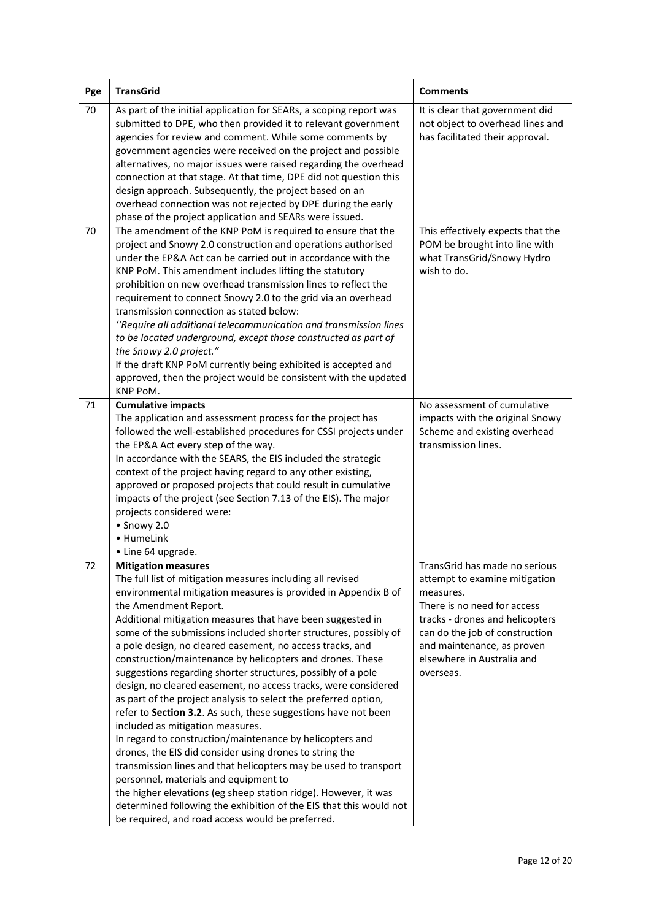| Pge | <b>TransGrid</b>                                                                                                                                                                                                                                                                                                                                                                                                                                                                                                                                                                                                                                                                                                                                                                                                                                                                                                                                                                                                                                                                                                                                                                            | <b>Comments</b>                                                                                                                                                                                                                                          |
|-----|---------------------------------------------------------------------------------------------------------------------------------------------------------------------------------------------------------------------------------------------------------------------------------------------------------------------------------------------------------------------------------------------------------------------------------------------------------------------------------------------------------------------------------------------------------------------------------------------------------------------------------------------------------------------------------------------------------------------------------------------------------------------------------------------------------------------------------------------------------------------------------------------------------------------------------------------------------------------------------------------------------------------------------------------------------------------------------------------------------------------------------------------------------------------------------------------|----------------------------------------------------------------------------------------------------------------------------------------------------------------------------------------------------------------------------------------------------------|
| 70  | As part of the initial application for SEARs, a scoping report was<br>submitted to DPE, who then provided it to relevant government<br>agencies for review and comment. While some comments by<br>government agencies were received on the project and possible<br>alternatives, no major issues were raised regarding the overhead<br>connection at that stage. At that time, DPE did not question this<br>design approach. Subsequently, the project based on an<br>overhead connection was not rejected by DPE during the early<br>phase of the project application and SEARs were issued.                                                                                                                                                                                                                                                                                                                                                                                                                                                                                                                                                                                               | It is clear that government did<br>not object to overhead lines and<br>has facilitated their approval.                                                                                                                                                   |
| 70  | The amendment of the KNP PoM is required to ensure that the<br>project and Snowy 2.0 construction and operations authorised<br>under the EP&A Act can be carried out in accordance with the<br>KNP PoM. This amendment includes lifting the statutory<br>prohibition on new overhead transmission lines to reflect the<br>requirement to connect Snowy 2.0 to the grid via an overhead<br>transmission connection as stated below:<br>"Require all additional telecommunication and transmission lines<br>to be located underground, except those constructed as part of<br>the Snowy 2.0 project."<br>If the draft KNP PoM currently being exhibited is accepted and<br>approved, then the project would be consistent with the updated<br>KNP PoM.                                                                                                                                                                                                                                                                                                                                                                                                                                        | This effectively expects that the<br>POM be brought into line with<br>what TransGrid/Snowy Hydro<br>wish to do.                                                                                                                                          |
| 71  | <b>Cumulative impacts</b><br>The application and assessment process for the project has<br>followed the well-established procedures for CSSI projects under<br>the EP&A Act every step of the way.<br>In accordance with the SEARS, the EIS included the strategic<br>context of the project having regard to any other existing,<br>approved or proposed projects that could result in cumulative<br>impacts of the project (see Section 7.13 of the EIS). The major<br>projects considered were:<br>· Snowy 2.0<br>• HumeLink<br>• Line 64 upgrade.                                                                                                                                                                                                                                                                                                                                                                                                                                                                                                                                                                                                                                       | No assessment of cumulative<br>impacts with the original Snowy<br>Scheme and existing overhead<br>transmission lines.                                                                                                                                    |
| 72  | <b>Mitigation measures</b><br>The full list of mitigation measures including all revised<br>environmental mitigation measures is provided in Appendix B of<br>the Amendment Report.<br>Additional mitigation measures that have been suggested in<br>some of the submissions included shorter structures, possibly of<br>a pole design, no cleared easement, no access tracks, and<br>construction/maintenance by helicopters and drones. These<br>suggestions regarding shorter structures, possibly of a pole<br>design, no cleared easement, no access tracks, were considered<br>as part of the project analysis to select the preferred option,<br>refer to Section 3.2. As such, these suggestions have not been<br>included as mitigation measures.<br>In regard to construction/maintenance by helicopters and<br>drones, the EIS did consider using drones to string the<br>transmission lines and that helicopters may be used to transport<br>personnel, materials and equipment to<br>the higher elevations (eg sheep station ridge). However, it was<br>determined following the exhibition of the EIS that this would not<br>be required, and road access would be preferred. | TransGrid has made no serious<br>attempt to examine mitigation<br>measures.<br>There is no need for access<br>tracks - drones and helicopters<br>can do the job of construction<br>and maintenance, as proven<br>elsewhere in Australia and<br>overseas. |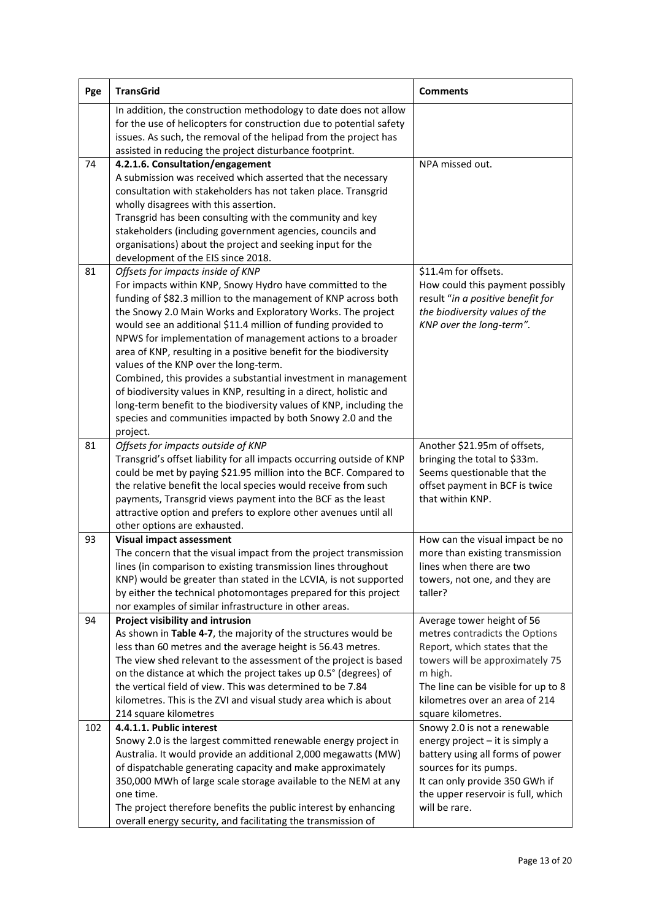| Pge | <b>TransGrid</b>                                                                                                                     | <b>Comments</b>                     |
|-----|--------------------------------------------------------------------------------------------------------------------------------------|-------------------------------------|
|     | In addition, the construction methodology to date does not allow                                                                     |                                     |
|     | for the use of helicopters for construction due to potential safety                                                                  |                                     |
|     | issues. As such, the removal of the helipad from the project has                                                                     |                                     |
|     | assisted in reducing the project disturbance footprint.                                                                              |                                     |
| 74  | 4.2.1.6. Consultation/engagement                                                                                                     | NPA missed out.                     |
|     | A submission was received which asserted that the necessary                                                                          |                                     |
|     | consultation with stakeholders has not taken place. Transgrid                                                                        |                                     |
|     | wholly disagrees with this assertion.                                                                                                |                                     |
|     | Transgrid has been consulting with the community and key                                                                             |                                     |
|     | stakeholders (including government agencies, councils and                                                                            |                                     |
|     | organisations) about the project and seeking input for the                                                                           |                                     |
|     | development of the EIS since 2018.                                                                                                   |                                     |
| 81  | Offsets for impacts inside of KNP                                                                                                    | \$11.4m for offsets.                |
|     | For impacts within KNP, Snowy Hydro have committed to the                                                                            | How could this payment possibly     |
|     | funding of \$82.3 million to the management of KNP across both                                                                       | result "in a positive benefit for   |
|     | the Snowy 2.0 Main Works and Exploratory Works. The project                                                                          | the biodiversity values of the      |
|     | would see an additional \$11.4 million of funding provided to                                                                        | KNP over the long-term".            |
|     | NPWS for implementation of management actions to a broader                                                                           |                                     |
|     | area of KNP, resulting in a positive benefit for the biodiversity                                                                    |                                     |
|     | values of the KNP over the long-term.                                                                                                |                                     |
|     | Combined, this provides a substantial investment in management<br>of biodiversity values in KNP, resulting in a direct, holistic and |                                     |
|     | long-term benefit to the biodiversity values of KNP, including the                                                                   |                                     |
|     | species and communities impacted by both Snowy 2.0 and the                                                                           |                                     |
|     | project.                                                                                                                             |                                     |
| 81  | Offsets for impacts outside of KNP                                                                                                   | Another \$21.95m of offsets,        |
|     | Transgrid's offset liability for all impacts occurring outside of KNP                                                                | bringing the total to \$33m.        |
|     | could be met by paying \$21.95 million into the BCF. Compared to                                                                     | Seems questionable that the         |
|     | the relative benefit the local species would receive from such                                                                       | offset payment in BCF is twice      |
|     | payments, Transgrid views payment into the BCF as the least                                                                          | that within KNP.                    |
|     | attractive option and prefers to explore other avenues until all                                                                     |                                     |
|     | other options are exhausted.                                                                                                         |                                     |
| 93  | <b>Visual impact assessment</b>                                                                                                      | How can the visual impact be no     |
|     | The concern that the visual impact from the project transmission                                                                     | more than existing transmission     |
|     | lines (in comparison to existing transmission lines throughout                                                                       | lines when there are two            |
|     | KNP) would be greater than stated in the LCVIA, is not supported                                                                     | towers, not one, and they are       |
|     | by either the technical photomontages prepared for this project                                                                      | taller?                             |
|     | nor examples of similar infrastructure in other areas.                                                                               |                                     |
| 94  | Project visibility and intrusion                                                                                                     | Average tower height of 56          |
|     | As shown in Table 4-7, the majority of the structures would be                                                                       | metres contradicts the Options      |
|     | less than 60 metres and the average height is 56.43 metres.                                                                          | Report, which states that the       |
|     | The view shed relevant to the assessment of the project is based                                                                     | towers will be approximately 75     |
|     | on the distance at which the project takes up 0.5° (degrees) of                                                                      | m high.                             |
|     | the vertical field of view. This was determined to be 7.84                                                                           | The line can be visible for up to 8 |
|     | kilometres. This is the ZVI and visual study area which is about                                                                     | kilometres over an area of 214      |
|     | 214 square kilometres                                                                                                                | square kilometres.                  |
| 102 | 4.4.1.1. Public interest                                                                                                             | Snowy 2.0 is not a renewable        |
|     | Snowy 2.0 is the largest committed renewable energy project in                                                                       | energy project - it is simply a     |
|     | Australia. It would provide an additional 2,000 megawatts (MW)                                                                       | battery using all forms of power    |
|     | of dispatchable generating capacity and make approximately                                                                           | sources for its pumps.              |
|     | 350,000 MWh of large scale storage available to the NEM at any                                                                       | It can only provide 350 GWh if      |
|     | one time.                                                                                                                            | the upper reservoir is full, which  |
|     | The project therefore benefits the public interest by enhancing                                                                      | will be rare.                       |
|     | overall energy security, and facilitating the transmission of                                                                        |                                     |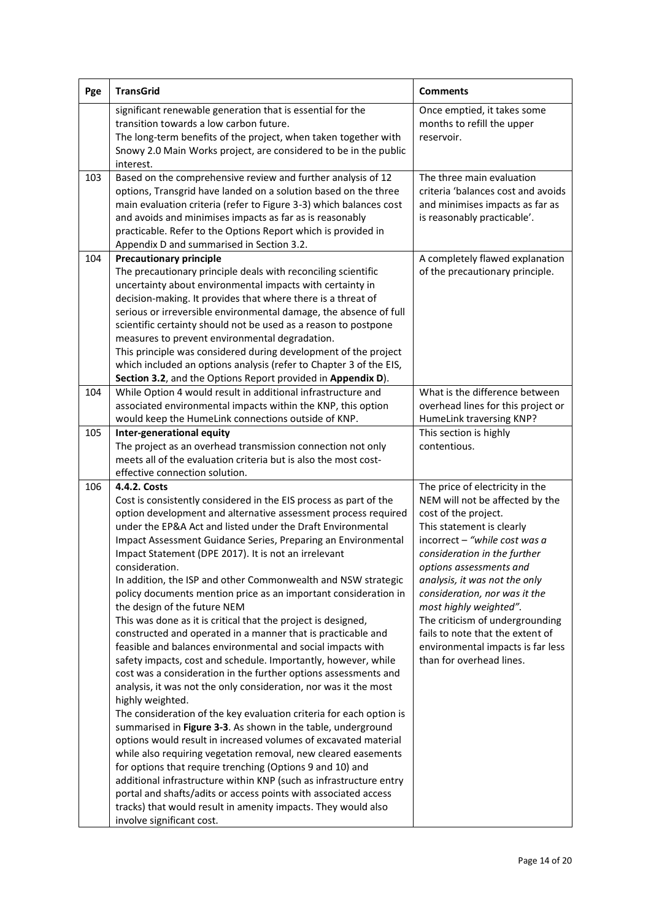| Pge | <b>TransGrid</b>                                                                                                                                                                                                                                                                                                                                                                                                                                                                                                                                                                                                                                                                                                                                                                                                                                                                                                                                                                                                                                                                                                                                                                                                                                                                                                                                                                                                                                                                                                                               | <b>Comments</b>                                                                                                                                                                                                                                                                                                                                                                                                                                         |
|-----|------------------------------------------------------------------------------------------------------------------------------------------------------------------------------------------------------------------------------------------------------------------------------------------------------------------------------------------------------------------------------------------------------------------------------------------------------------------------------------------------------------------------------------------------------------------------------------------------------------------------------------------------------------------------------------------------------------------------------------------------------------------------------------------------------------------------------------------------------------------------------------------------------------------------------------------------------------------------------------------------------------------------------------------------------------------------------------------------------------------------------------------------------------------------------------------------------------------------------------------------------------------------------------------------------------------------------------------------------------------------------------------------------------------------------------------------------------------------------------------------------------------------------------------------|---------------------------------------------------------------------------------------------------------------------------------------------------------------------------------------------------------------------------------------------------------------------------------------------------------------------------------------------------------------------------------------------------------------------------------------------------------|
|     | significant renewable generation that is essential for the<br>transition towards a low carbon future.<br>The long-term benefits of the project, when taken together with<br>Snowy 2.0 Main Works project, are considered to be in the public                                                                                                                                                                                                                                                                                                                                                                                                                                                                                                                                                                                                                                                                                                                                                                                                                                                                                                                                                                                                                                                                                                                                                                                                                                                                                                   | Once emptied, it takes some<br>months to refill the upper<br>reservoir.                                                                                                                                                                                                                                                                                                                                                                                 |
| 103 | interest.<br>Based on the comprehensive review and further analysis of 12<br>options, Transgrid have landed on a solution based on the three<br>main evaluation criteria (refer to Figure 3-3) which balances cost<br>and avoids and minimises impacts as far as is reasonably<br>practicable. Refer to the Options Report which is provided in<br>Appendix D and summarised in Section 3.2.                                                                                                                                                                                                                                                                                                                                                                                                                                                                                                                                                                                                                                                                                                                                                                                                                                                                                                                                                                                                                                                                                                                                                   | The three main evaluation<br>criteria 'balances cost and avoids<br>and minimises impacts as far as<br>is reasonably practicable'.                                                                                                                                                                                                                                                                                                                       |
| 104 | <b>Precautionary principle</b><br>The precautionary principle deals with reconciling scientific<br>uncertainty about environmental impacts with certainty in<br>decision-making. It provides that where there is a threat of<br>serious or irreversible environmental damage, the absence of full<br>scientific certainty should not be used as a reason to postpone<br>measures to prevent environmental degradation.<br>This principle was considered during development of the project<br>which included an options analysis (refer to Chapter 3 of the EIS,<br>Section 3.2, and the Options Report provided in Appendix D).                                                                                                                                                                                                                                                                                                                                                                                                                                                                                                                                                                                                                                                                                                                                                                                                                                                                                                                | A completely flawed explanation<br>of the precautionary principle.                                                                                                                                                                                                                                                                                                                                                                                      |
| 104 | While Option 4 would result in additional infrastructure and<br>associated environmental impacts within the KNP, this option<br>would keep the HumeLink connections outside of KNP.                                                                                                                                                                                                                                                                                                                                                                                                                                                                                                                                                                                                                                                                                                                                                                                                                                                                                                                                                                                                                                                                                                                                                                                                                                                                                                                                                            | What is the difference between<br>overhead lines for this project or<br>HumeLink traversing KNP?                                                                                                                                                                                                                                                                                                                                                        |
| 105 | Inter-generational equity<br>The project as an overhead transmission connection not only<br>meets all of the evaluation criteria but is also the most cost-<br>effective connection solution.                                                                                                                                                                                                                                                                                                                                                                                                                                                                                                                                                                                                                                                                                                                                                                                                                                                                                                                                                                                                                                                                                                                                                                                                                                                                                                                                                  | This section is highly<br>contentious.                                                                                                                                                                                                                                                                                                                                                                                                                  |
| 106 | 4.4.2. Costs<br>Cost is consistently considered in the EIS process as part of the<br>option development and alternative assessment process required<br>under the EP&A Act and listed under the Draft Environmental<br>Impact Assessment Guidance Series, Preparing an Environmental<br>Impact Statement (DPE 2017). It is not an irrelevant<br>consideration.<br>In addition, the ISP and other Commonwealth and NSW strategic<br>policy documents mention price as an important consideration in<br>the design of the future NEM<br>This was done as it is critical that the project is designed,<br>constructed and operated in a manner that is practicable and<br>feasible and balances environmental and social impacts with<br>safety impacts, cost and schedule. Importantly, however, while<br>cost was a consideration in the further options assessments and<br>analysis, it was not the only consideration, nor was it the most<br>highly weighted.<br>The consideration of the key evaluation criteria for each option is<br>summarised in Figure 3-3. As shown in the table, underground<br>options would result in increased volumes of excavated material<br>while also requiring vegetation removal, new cleared easements<br>for options that require trenching (Options 9 and 10) and<br>additional infrastructure within KNP (such as infrastructure entry<br>portal and shafts/adits or access points with associated access<br>tracks) that would result in amenity impacts. They would also<br>involve significant cost. | The price of electricity in the<br>NEM will not be affected by the<br>cost of the project.<br>This statement is clearly<br>incorrect - "while cost was a<br>consideration in the further<br>options assessments and<br>analysis, it was not the only<br>consideration, nor was it the<br>most highly weighted".<br>The criticism of undergrounding<br>fails to note that the extent of<br>environmental impacts is far less<br>than for overhead lines. |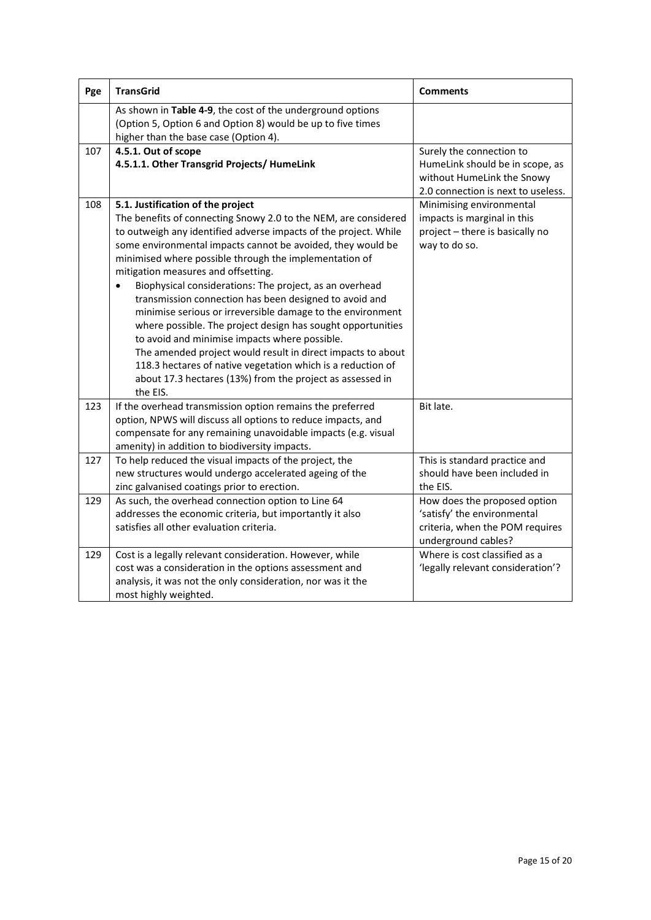| Pge | <b>TransGrid</b>                                                                                                                                                                                                                                                                                                                                                                                                                                                                                                                                                                                                                                                                                                                                                                                                                                                | <b>Comments</b>                                                                                                                 |
|-----|-----------------------------------------------------------------------------------------------------------------------------------------------------------------------------------------------------------------------------------------------------------------------------------------------------------------------------------------------------------------------------------------------------------------------------------------------------------------------------------------------------------------------------------------------------------------------------------------------------------------------------------------------------------------------------------------------------------------------------------------------------------------------------------------------------------------------------------------------------------------|---------------------------------------------------------------------------------------------------------------------------------|
|     | As shown in Table 4-9, the cost of the underground options<br>(Option 5, Option 6 and Option 8) would be up to five times<br>higher than the base case (Option 4).                                                                                                                                                                                                                                                                                                                                                                                                                                                                                                                                                                                                                                                                                              |                                                                                                                                 |
| 107 | 4.5.1. Out of scope<br>4.5.1.1. Other Transgrid Projects/ HumeLink                                                                                                                                                                                                                                                                                                                                                                                                                                                                                                                                                                                                                                                                                                                                                                                              | Surely the connection to<br>HumeLink should be in scope, as<br>without HumeLink the Snowy<br>2.0 connection is next to useless. |
| 108 | 5.1. Justification of the project<br>The benefits of connecting Snowy 2.0 to the NEM, are considered<br>to outweigh any identified adverse impacts of the project. While<br>some environmental impacts cannot be avoided, they would be<br>minimised where possible through the implementation of<br>mitigation measures and offsetting.<br>Biophysical considerations: The project, as an overhead<br>$\bullet$<br>transmission connection has been designed to avoid and<br>minimise serious or irreversible damage to the environment<br>where possible. The project design has sought opportunities<br>to avoid and minimise impacts where possible.<br>The amended project would result in direct impacts to about<br>118.3 hectares of native vegetation which is a reduction of<br>about 17.3 hectares (13%) from the project as assessed in<br>the EIS. | Minimising environmental<br>impacts is marginal in this<br>project - there is basically no<br>way to do so.                     |
| 123 | If the overhead transmission option remains the preferred<br>option, NPWS will discuss all options to reduce impacts, and<br>compensate for any remaining unavoidable impacts (e.g. visual<br>amenity) in addition to biodiversity impacts.                                                                                                                                                                                                                                                                                                                                                                                                                                                                                                                                                                                                                     | Bit late.                                                                                                                       |
| 127 | To help reduced the visual impacts of the project, the<br>new structures would undergo accelerated ageing of the<br>zinc galvanised coatings prior to erection.                                                                                                                                                                                                                                                                                                                                                                                                                                                                                                                                                                                                                                                                                                 | This is standard practice and<br>should have been included in<br>the EIS.                                                       |
| 129 | As such, the overhead connection option to Line 64<br>addresses the economic criteria, but importantly it also<br>satisfies all other evaluation criteria.                                                                                                                                                                                                                                                                                                                                                                                                                                                                                                                                                                                                                                                                                                      | How does the proposed option<br>'satisfy' the environmental<br>criteria, when the POM requires<br>underground cables?           |
| 129 | Cost is a legally relevant consideration. However, while<br>cost was a consideration in the options assessment and<br>analysis, it was not the only consideration, nor was it the<br>most highly weighted.                                                                                                                                                                                                                                                                                                                                                                                                                                                                                                                                                                                                                                                      | Where is cost classified as a<br>'legally relevant consideration'?                                                              |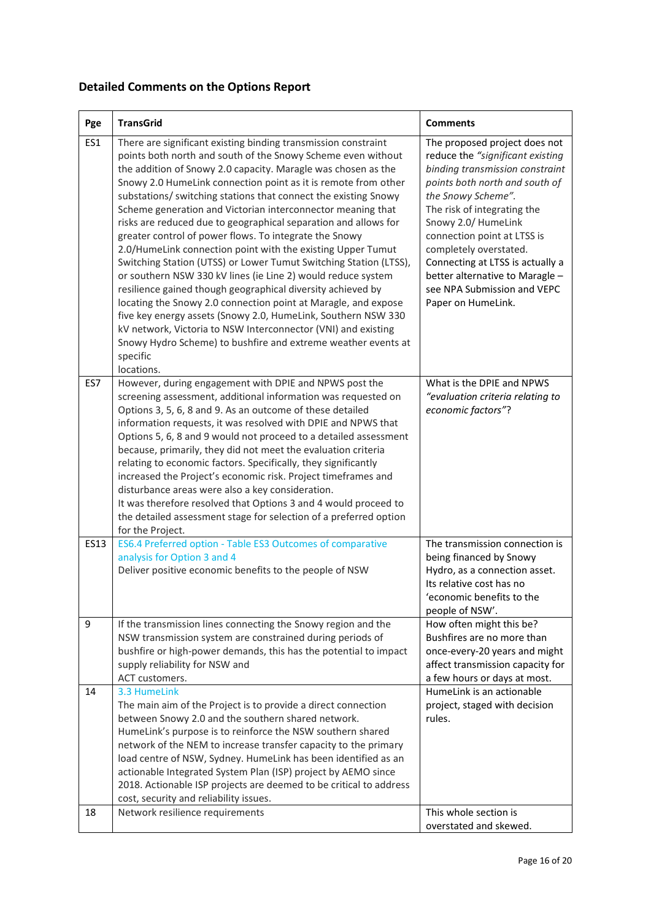# **Detailed Comments on the Options Report**

| Pge  | <b>TransGrid</b>                                                                                                                                                                                                                                                                                                                                                                                                                                                                                                                                                                                                                                                                                                                                                                                                                                                                                                                                                                                                                                                                                   | <b>Comments</b>                                                                                                                                                                                                                                                                                                                                                                                         |
|------|----------------------------------------------------------------------------------------------------------------------------------------------------------------------------------------------------------------------------------------------------------------------------------------------------------------------------------------------------------------------------------------------------------------------------------------------------------------------------------------------------------------------------------------------------------------------------------------------------------------------------------------------------------------------------------------------------------------------------------------------------------------------------------------------------------------------------------------------------------------------------------------------------------------------------------------------------------------------------------------------------------------------------------------------------------------------------------------------------|---------------------------------------------------------------------------------------------------------------------------------------------------------------------------------------------------------------------------------------------------------------------------------------------------------------------------------------------------------------------------------------------------------|
| ES1  | There are significant existing binding transmission constraint<br>points both north and south of the Snowy Scheme even without<br>the addition of Snowy 2.0 capacity. Maragle was chosen as the<br>Snowy 2.0 HumeLink connection point as it is remote from other<br>substations/ switching stations that connect the existing Snowy<br>Scheme generation and Victorian interconnector meaning that<br>risks are reduced due to geographical separation and allows for<br>greater control of power flows. To integrate the Snowy<br>2.0/HumeLink connection point with the existing Upper Tumut<br>Switching Station (UTSS) or Lower Tumut Switching Station (LTSS),<br>or southern NSW 330 kV lines (ie Line 2) would reduce system<br>resilience gained though geographical diversity achieved by<br>locating the Snowy 2.0 connection point at Maragle, and expose<br>five key energy assets (Snowy 2.0, HumeLink, Southern NSW 330<br>kV network, Victoria to NSW Interconnector (VNI) and existing<br>Snowy Hydro Scheme) to bushfire and extreme weather events at<br>specific<br>locations. | The proposed project does not<br>reduce the "significant existing<br>binding transmission constraint<br>points both north and south of<br>the Snowy Scheme".<br>The risk of integrating the<br>Snowy 2.0/ HumeLink<br>connection point at LTSS is<br>completely overstated.<br>Connecting at LTSS is actually a<br>better alternative to Maragle -<br>see NPA Submission and VEPC<br>Paper on HumeLink. |
| ES7  | However, during engagement with DPIE and NPWS post the<br>screening assessment, additional information was requested on<br>Options 3, 5, 6, 8 and 9. As an outcome of these detailed<br>information requests, it was resolved with DPIE and NPWS that<br>Options 5, 6, 8 and 9 would not proceed to a detailed assessment<br>because, primarily, they did not meet the evaluation criteria<br>relating to economic factors. Specifically, they significantly<br>increased the Project's economic risk. Project timeframes and<br>disturbance areas were also a key consideration.<br>It was therefore resolved that Options 3 and 4 would proceed to<br>the detailed assessment stage for selection of a preferred option<br>for the Project.                                                                                                                                                                                                                                                                                                                                                      | What is the DPIE and NPWS<br>"evaluation criteria relating to<br>economic factors"?                                                                                                                                                                                                                                                                                                                     |
| ES13 | ES6.4 Preferred option - Table ES3 Outcomes of comparative<br>analysis for Option 3 and 4<br>Deliver positive economic benefits to the people of NSW                                                                                                                                                                                                                                                                                                                                                                                                                                                                                                                                                                                                                                                                                                                                                                                                                                                                                                                                               | The transmission connection is<br>being financed by Snowy<br>Hydro, as a connection asset.<br>Its relative cost has no<br>'economic benefits to the<br>people of NSW'.                                                                                                                                                                                                                                  |
| 9    | If the transmission lines connecting the Snowy region and the<br>NSW transmission system are constrained during periods of<br>bushfire or high-power demands, this has the potential to impact<br>supply reliability for NSW and<br>ACT customers.                                                                                                                                                                                                                                                                                                                                                                                                                                                                                                                                                                                                                                                                                                                                                                                                                                                 | How often might this be?<br>Bushfires are no more than<br>once-every-20 years and might<br>affect transmission capacity for<br>a few hours or days at most.                                                                                                                                                                                                                                             |
| 14   | 3.3 HumeLink<br>The main aim of the Project is to provide a direct connection<br>between Snowy 2.0 and the southern shared network.<br>HumeLink's purpose is to reinforce the NSW southern shared<br>network of the NEM to increase transfer capacity to the primary<br>load centre of NSW, Sydney. HumeLink has been identified as an<br>actionable Integrated System Plan (ISP) project by AEMO since<br>2018. Actionable ISP projects are deemed to be critical to address<br>cost, security and reliability issues.                                                                                                                                                                                                                                                                                                                                                                                                                                                                                                                                                                            | HumeLink is an actionable<br>project, staged with decision<br>rules.                                                                                                                                                                                                                                                                                                                                    |
| 18   | Network resilience requirements                                                                                                                                                                                                                                                                                                                                                                                                                                                                                                                                                                                                                                                                                                                                                                                                                                                                                                                                                                                                                                                                    | This whole section is<br>overstated and skewed.                                                                                                                                                                                                                                                                                                                                                         |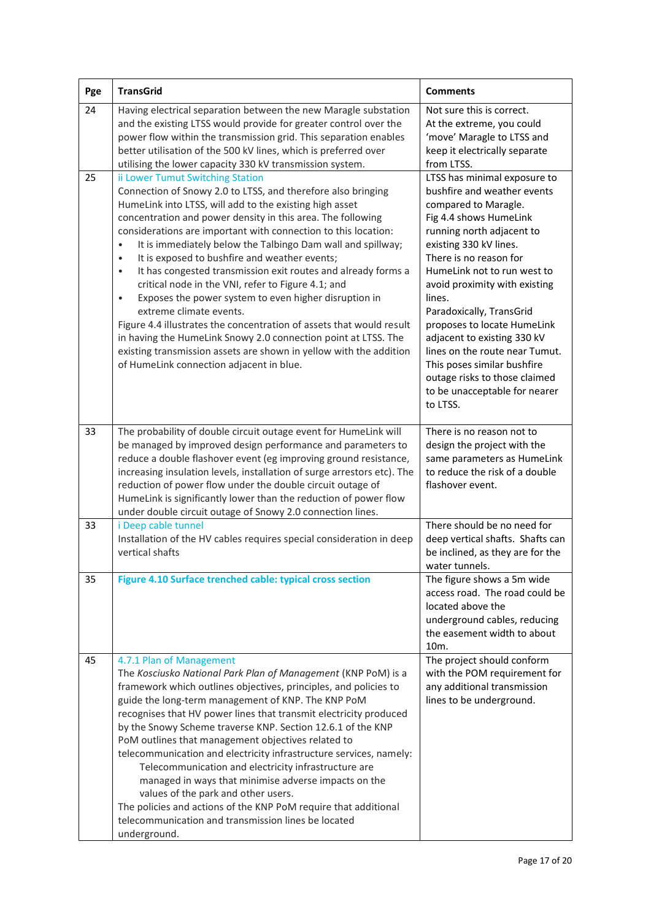| Pge | <b>TransGrid</b>                                                                                                                                                                                                                                                                                                                                                                                                                                                                                                                                                                                                                                                                                                                                                                                                                                                                                                                        | <b>Comments</b>                                                                                                                                                                                                                                                                                                                                                                                                                                                                                                   |
|-----|-----------------------------------------------------------------------------------------------------------------------------------------------------------------------------------------------------------------------------------------------------------------------------------------------------------------------------------------------------------------------------------------------------------------------------------------------------------------------------------------------------------------------------------------------------------------------------------------------------------------------------------------------------------------------------------------------------------------------------------------------------------------------------------------------------------------------------------------------------------------------------------------------------------------------------------------|-------------------------------------------------------------------------------------------------------------------------------------------------------------------------------------------------------------------------------------------------------------------------------------------------------------------------------------------------------------------------------------------------------------------------------------------------------------------------------------------------------------------|
| 24  | Having electrical separation between the new Maragle substation<br>and the existing LTSS would provide for greater control over the<br>power flow within the transmission grid. This separation enables<br>better utilisation of the 500 kV lines, which is preferred over<br>utilising the lower capacity 330 kV transmission system.                                                                                                                                                                                                                                                                                                                                                                                                                                                                                                                                                                                                  | Not sure this is correct.<br>At the extreme, you could<br>'move' Maragle to LTSS and<br>keep it electrically separate<br>from LTSS.                                                                                                                                                                                                                                                                                                                                                                               |
| 25  | ii Lower Tumut Switching Station<br>Connection of Snowy 2.0 to LTSS, and therefore also bringing<br>HumeLink into LTSS, will add to the existing high asset<br>concentration and power density in this area. The following<br>considerations are important with connection to this location:<br>It is immediately below the Talbingo Dam wall and spillway;<br>$\bullet$<br>It is exposed to bushfire and weather events;<br>$\bullet$<br>It has congested transmission exit routes and already forms a<br>$\bullet$<br>critical node in the VNI, refer to Figure 4.1; and<br>Exposes the power system to even higher disruption in<br>$\bullet$<br>extreme climate events.<br>Figure 4.4 illustrates the concentration of assets that would result<br>in having the HumeLink Snowy 2.0 connection point at LTSS. The<br>existing transmission assets are shown in yellow with the addition<br>of HumeLink connection adjacent in blue. | LTSS has minimal exposure to<br>bushfire and weather events<br>compared to Maragle.<br>Fig 4.4 shows HumeLink<br>running north adjacent to<br>existing 330 kV lines.<br>There is no reason for<br>HumeLink not to run west to<br>avoid proximity with existing<br>lines.<br>Paradoxically, TransGrid<br>proposes to locate HumeLink<br>adjacent to existing 330 kV<br>lines on the route near Tumut.<br>This poses similar bushfire<br>outage risks to those claimed<br>to be unacceptable for nearer<br>to LTSS. |
| 33  | The probability of double circuit outage event for HumeLink will<br>be managed by improved design performance and parameters to<br>reduce a double flashover event (eg improving ground resistance,<br>increasing insulation levels, installation of surge arrestors etc). The<br>reduction of power flow under the double circuit outage of<br>HumeLink is significantly lower than the reduction of power flow<br>under double circuit outage of Snowy 2.0 connection lines.                                                                                                                                                                                                                                                                                                                                                                                                                                                          | There is no reason not to<br>design the project with the<br>same parameters as HumeLink<br>to reduce the risk of a double<br>flashover event.                                                                                                                                                                                                                                                                                                                                                                     |
| 33  | i Deep cable tunnel<br>Installation of the HV cables requires special consideration in deep<br>vertical shafts                                                                                                                                                                                                                                                                                                                                                                                                                                                                                                                                                                                                                                                                                                                                                                                                                          | There should be no need for<br>deep vertical shafts. Shafts can<br>be inclined, as they are for the<br>water tunnels.                                                                                                                                                                                                                                                                                                                                                                                             |
| 35  | Figure 4.10 Surface trenched cable: typical cross section                                                                                                                                                                                                                                                                                                                                                                                                                                                                                                                                                                                                                                                                                                                                                                                                                                                                               | The figure shows a 5m wide<br>access road. The road could be<br>located above the<br>underground cables, reducing<br>the easement width to about<br>10 <sub>m</sub> .                                                                                                                                                                                                                                                                                                                                             |
| 45  | 4.7.1 Plan of Management<br>The Kosciusko National Park Plan of Management (KNP PoM) is a<br>framework which outlines objectives, principles, and policies to<br>guide the long-term management of KNP. The KNP PoM<br>recognises that HV power lines that transmit electricity produced<br>by the Snowy Scheme traverse KNP. Section 12.6.1 of the KNP<br>PoM outlines that management objectives related to<br>telecommunication and electricity infrastructure services, namely:<br>Telecommunication and electricity infrastructure are<br>managed in ways that minimise adverse impacts on the<br>values of the park and other users.<br>The policies and actions of the KNP PoM require that additional<br>telecommunication and transmission lines be located<br>underground.                                                                                                                                                    | The project should conform<br>with the POM requirement for<br>any additional transmission<br>lines to be underground.                                                                                                                                                                                                                                                                                                                                                                                             |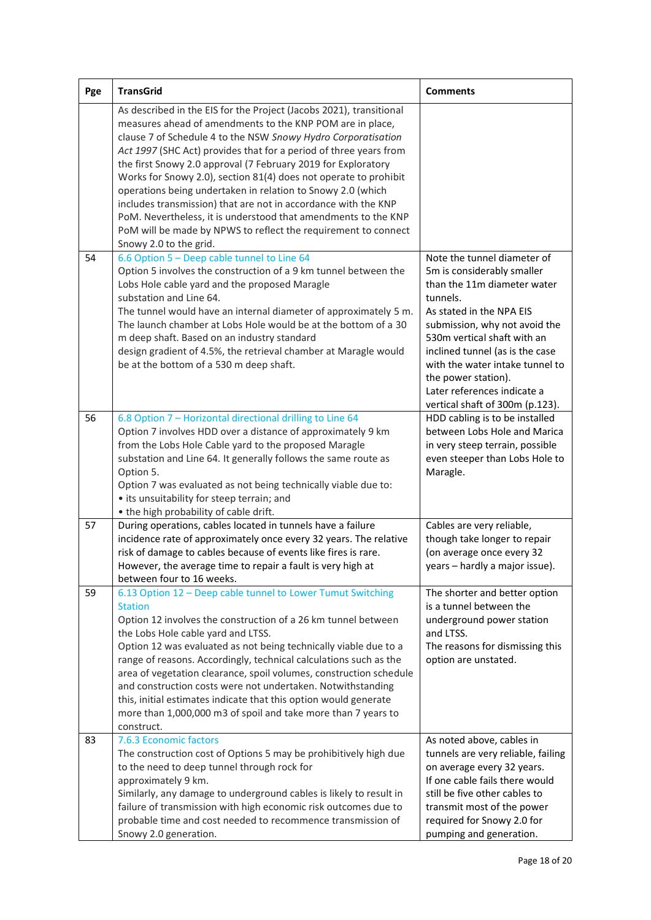| Pge | <b>TransGrid</b>                                                                                                                                                                                                                                                                                                                                                                                                                                                                                                                                                                                                                                                                                           | <b>Comments</b>                                                                                                                                                                                                                                                                                                                                                 |
|-----|------------------------------------------------------------------------------------------------------------------------------------------------------------------------------------------------------------------------------------------------------------------------------------------------------------------------------------------------------------------------------------------------------------------------------------------------------------------------------------------------------------------------------------------------------------------------------------------------------------------------------------------------------------------------------------------------------------|-----------------------------------------------------------------------------------------------------------------------------------------------------------------------------------------------------------------------------------------------------------------------------------------------------------------------------------------------------------------|
|     | As described in the EIS for the Project (Jacobs 2021), transitional<br>measures ahead of amendments to the KNP POM are in place,<br>clause 7 of Schedule 4 to the NSW Snowy Hydro Corporatisation<br>Act 1997 (SHC Act) provides that for a period of three years from<br>the first Snowy 2.0 approval (7 February 2019 for Exploratory<br>Works for Snowy 2.0), section 81(4) does not operate to prohibit<br>operations being undertaken in relation to Snowy 2.0 (which<br>includes transmission) that are not in accordance with the KNP<br>PoM. Nevertheless, it is understood that amendments to the KNP<br>PoM will be made by NPWS to reflect the requirement to connect<br>Snowy 2.0 to the grid. |                                                                                                                                                                                                                                                                                                                                                                 |
| 54  | 6.6 Option 5 - Deep cable tunnel to Line 64<br>Option 5 involves the construction of a 9 km tunnel between the<br>Lobs Hole cable yard and the proposed Maragle<br>substation and Line 64.<br>The tunnel would have an internal diameter of approximately 5 m.<br>The launch chamber at Lobs Hole would be at the bottom of a 30<br>m deep shaft. Based on an industry standard<br>design gradient of 4.5%, the retrieval chamber at Maragle would<br>be at the bottom of a 530 m deep shaft.                                                                                                                                                                                                              | Note the tunnel diameter of<br>5m is considerably smaller<br>than the 11m diameter water<br>tunnels.<br>As stated in the NPA EIS<br>submission, why not avoid the<br>530m vertical shaft with an<br>inclined tunnel (as is the case<br>with the water intake tunnel to<br>the power station).<br>Later references indicate a<br>vertical shaft of 300m (p.123). |
| 56  | 6.8 Option 7 - Horizontal directional drilling to Line 64<br>Option 7 involves HDD over a distance of approximately 9 km<br>from the Lobs Hole Cable yard to the proposed Maragle<br>substation and Line 64. It generally follows the same route as<br>Option 5.<br>Option 7 was evaluated as not being technically viable due to:<br>• its unsuitability for steep terrain; and<br>• the high probability of cable drift.                                                                                                                                                                                                                                                                                 | HDD cabling is to be installed<br>between Lobs Hole and Marica<br>in very steep terrain, possible<br>even steeper than Lobs Hole to<br>Maragle.                                                                                                                                                                                                                 |
| 57  | During operations, cables located in tunnels have a failure<br>incidence rate of approximately once every 32 years. The relative<br>risk of damage to cables because of events like fires is rare.<br>However, the average time to repair a fault is very high at<br>between four to 16 weeks.                                                                                                                                                                                                                                                                                                                                                                                                             | Cables are very reliable,<br>though take longer to repair<br>(on average once every 32<br>years – hardly a major issue).                                                                                                                                                                                                                                        |
| 59  | 6.13 Option 12 - Deep cable tunnel to Lower Tumut Switching<br><b>Station</b><br>Option 12 involves the construction of a 26 km tunnel between<br>the Lobs Hole cable yard and LTSS.<br>Option 12 was evaluated as not being technically viable due to a<br>range of reasons. Accordingly, technical calculations such as the<br>area of vegetation clearance, spoil volumes, construction schedule<br>and construction costs were not undertaken. Notwithstanding<br>this, initial estimates indicate that this option would generate<br>more than 1,000,000 m3 of spoil and take more than 7 years to<br>construct.                                                                                      | The shorter and better option<br>is a tunnel between the<br>underground power station<br>and LTSS.<br>The reasons for dismissing this<br>option are unstated.                                                                                                                                                                                                   |
| 83  | 7.6.3 Economic factors<br>The construction cost of Options 5 may be prohibitively high due<br>to the need to deep tunnel through rock for<br>approximately 9 km.<br>Similarly, any damage to underground cables is likely to result in<br>failure of transmission with high economic risk outcomes due to<br>probable time and cost needed to recommence transmission of<br>Snowy 2.0 generation.                                                                                                                                                                                                                                                                                                          | As noted above, cables in<br>tunnels are very reliable, failing<br>on average every 32 years.<br>If one cable fails there would<br>still be five other cables to<br>transmit most of the power<br>required for Snowy 2.0 for<br>pumping and generation.                                                                                                         |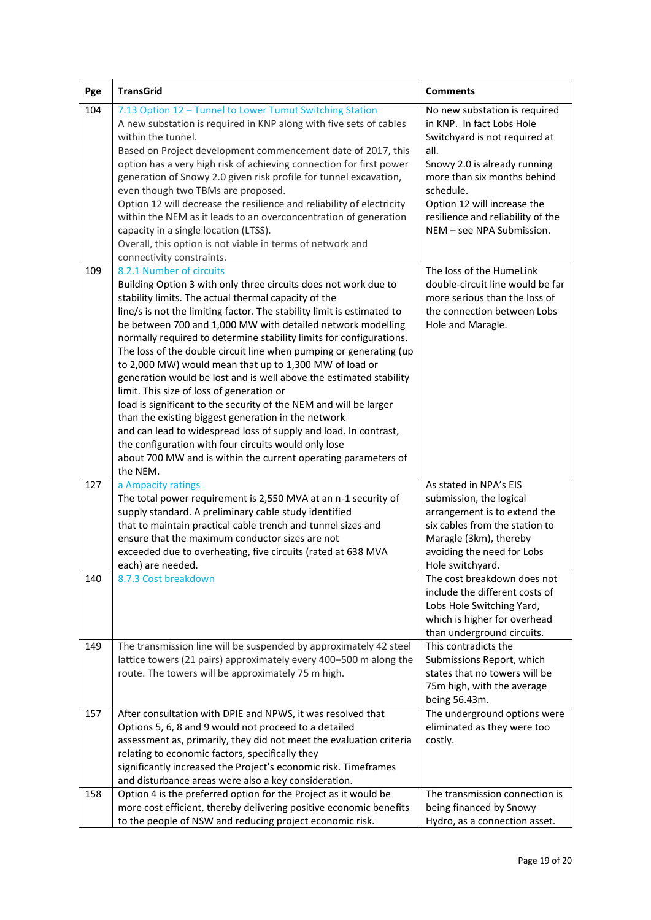| Pge | <b>TransGrid</b>                                                                                                                                                                                                                                                                                                                                                                                                                                                                                                                                                                                                                                                                                                                                                                                                                                                                                                                                             | <b>Comments</b>                                                                                                                                                                                                                                                                  |
|-----|--------------------------------------------------------------------------------------------------------------------------------------------------------------------------------------------------------------------------------------------------------------------------------------------------------------------------------------------------------------------------------------------------------------------------------------------------------------------------------------------------------------------------------------------------------------------------------------------------------------------------------------------------------------------------------------------------------------------------------------------------------------------------------------------------------------------------------------------------------------------------------------------------------------------------------------------------------------|----------------------------------------------------------------------------------------------------------------------------------------------------------------------------------------------------------------------------------------------------------------------------------|
| 104 | 7.13 Option 12 - Tunnel to Lower Tumut Switching Station<br>A new substation is required in KNP along with five sets of cables<br>within the tunnel.<br>Based on Project development commencement date of 2017, this<br>option has a very high risk of achieving connection for first power<br>generation of Snowy 2.0 given risk profile for tunnel excavation,<br>even though two TBMs are proposed.<br>Option 12 will decrease the resilience and reliability of electricity<br>within the NEM as it leads to an overconcentration of generation<br>capacity in a single location (LTSS).<br>Overall, this option is not viable in terms of network and<br>connectivity constraints.                                                                                                                                                                                                                                                                      | No new substation is required<br>in KNP. In fact Lobs Hole<br>Switchyard is not required at<br>all.<br>Snowy 2.0 is already running<br>more than six months behind<br>schedule.<br>Option 12 will increase the<br>resilience and reliability of the<br>NEM - see NPA Submission. |
| 109 | 8.2.1 Number of circuits<br>Building Option 3 with only three circuits does not work due to<br>stability limits. The actual thermal capacity of the<br>line/s is not the limiting factor. The stability limit is estimated to<br>be between 700 and 1,000 MW with detailed network modelling<br>normally required to determine stability limits for configurations.<br>The loss of the double circuit line when pumping or generating (up<br>to 2,000 MW) would mean that up to 1,300 MW of load or<br>generation would be lost and is well above the estimated stability<br>limit. This size of loss of generation or<br>load is significant to the security of the NEM and will be larger<br>than the existing biggest generation in the network<br>and can lead to widespread loss of supply and load. In contrast,<br>the configuration with four circuits would only lose<br>about 700 MW and is within the current operating parameters of<br>the NEM. | The loss of the HumeLink<br>double-circuit line would be far<br>more serious than the loss of<br>the connection between Lobs<br>Hole and Maragle.                                                                                                                                |
| 127 | a Ampacity ratings<br>The total power requirement is 2,550 MVA at an n-1 security of<br>supply standard. A preliminary cable study identified<br>that to maintain practical cable trench and tunnel sizes and<br>ensure that the maximum conductor sizes are not<br>exceeded due to overheating, five circuits (rated at 638 MVA<br>each) are needed.                                                                                                                                                                                                                                                                                                                                                                                                                                                                                                                                                                                                        | As stated in NPA's EIS<br>submission, the logical<br>arrangement is to extend the<br>six cables from the station to<br>Maragle (3km), thereby<br>avoiding the need for Lobs<br>Hole switchyard.                                                                                  |
| 140 | 8.7.3 Cost breakdown                                                                                                                                                                                                                                                                                                                                                                                                                                                                                                                                                                                                                                                                                                                                                                                                                                                                                                                                         | The cost breakdown does not<br>include the different costs of<br>Lobs Hole Switching Yard,<br>which is higher for overhead<br>than underground circuits.                                                                                                                         |
| 149 | The transmission line will be suspended by approximately 42 steel<br>lattice towers (21 pairs) approximately every 400-500 m along the<br>route. The towers will be approximately 75 m high.                                                                                                                                                                                                                                                                                                                                                                                                                                                                                                                                                                                                                                                                                                                                                                 | This contradicts the<br>Submissions Report, which<br>states that no towers will be<br>75m high, with the average<br>being 56.43m.                                                                                                                                                |
| 157 | After consultation with DPIE and NPWS, it was resolved that<br>Options 5, 6, 8 and 9 would not proceed to a detailed<br>assessment as, primarily, they did not meet the evaluation criteria<br>relating to economic factors, specifically they<br>significantly increased the Project's economic risk. Timeframes<br>and disturbance areas were also a key consideration.                                                                                                                                                                                                                                                                                                                                                                                                                                                                                                                                                                                    | The underground options were<br>eliminated as they were too<br>costly.                                                                                                                                                                                                           |
| 158 | Option 4 is the preferred option for the Project as it would be<br>more cost efficient, thereby delivering positive economic benefits<br>to the people of NSW and reducing project economic risk.                                                                                                                                                                                                                                                                                                                                                                                                                                                                                                                                                                                                                                                                                                                                                            | The transmission connection is<br>being financed by Snowy<br>Hydro, as a connection asset.                                                                                                                                                                                       |